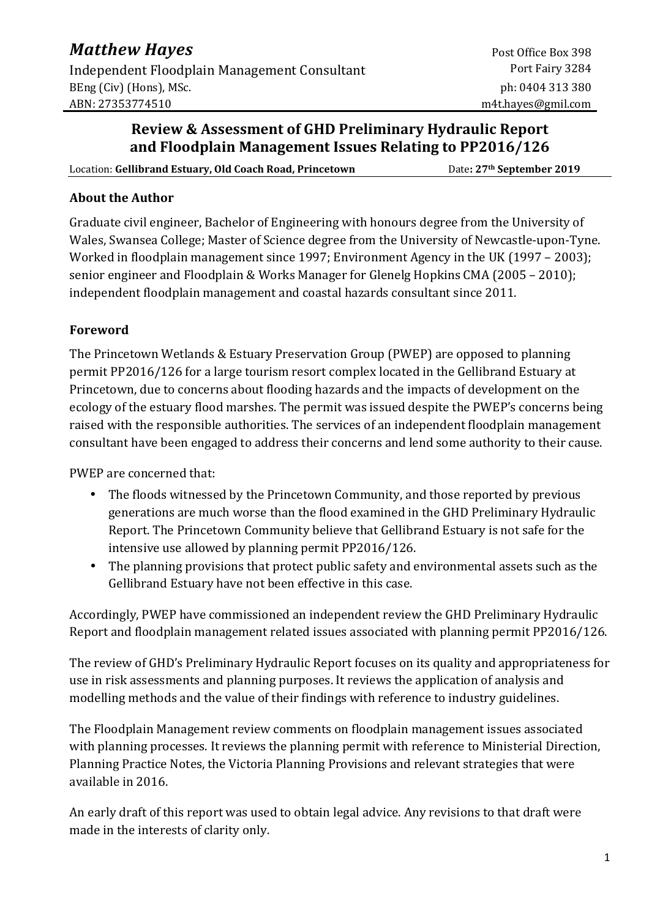## **Review & Assessment of GHD Preliminary Hydraulic Report and Floodplain Management Issues Relating to PP2016/126**

Location: **Gellibrand Estuary, Old Coach Road, Princetown** Date: 27<sup>th</sup> September 2019

#### **About the Author**

Graduate civil engineer, Bachelor of Engineering with honours degree from the University of Wales, Swansea College; Master of Science degree from the University of Newcastle-upon-Tyne. Worked in floodplain management since 1997; Environment Agency in the UK (1997 – 2003); senior engineer and Floodplain & Works Manager for Glenelg Hopkins CMA (2005 – 2010); independent floodplain management and coastal hazards consultant since 2011.

### **Foreword**

The Princetown Wetlands & Estuary Preservation Group (PWEP) are opposed to planning permit PP2016/126 for a large tourism resort complex located in the Gellibrand Estuary at Princetown, due to concerns about flooding hazards and the impacts of development on the ecology of the estuary flood marshes. The permit was issued despite the PWEP's concerns being raised with the responsible authorities. The services of an independent floodplain management consultant have been engaged to address their concerns and lend some authority to their cause.

PWEP are concerned that:

- The floods witnessed by the Princetown Community, and those reported by previous generations are much worse than the flood examined in the GHD Preliminary Hydraulic Report. The Princetown Community believe that Gellibrand Estuary is not safe for the intensive use allowed by planning permit PP2016/126.
- The planning provisions that protect public safety and environmental assets such as the Gellibrand Estuary have not been effective in this case.

Accordingly, PWEP have commissioned an independent review the GHD Preliminary Hydraulic Report and floodplain management related issues associated with planning permit PP2016/126.

The review of GHD's Preliminary Hydraulic Report focuses on its quality and appropriateness for use in risk assessments and planning purposes. It reviews the application of analysis and modelling methods and the value of their findings with reference to industry guidelines.

The Floodplain Management review comments on floodplain management issues associated with planning processes. It reviews the planning permit with reference to Ministerial Direction, Planning Practice Notes, the Victoria Planning Provisions and relevant strategies that were available in 2016.

An early draft of this report was used to obtain legal advice. Any revisions to that draft were made in the interests of clarity only.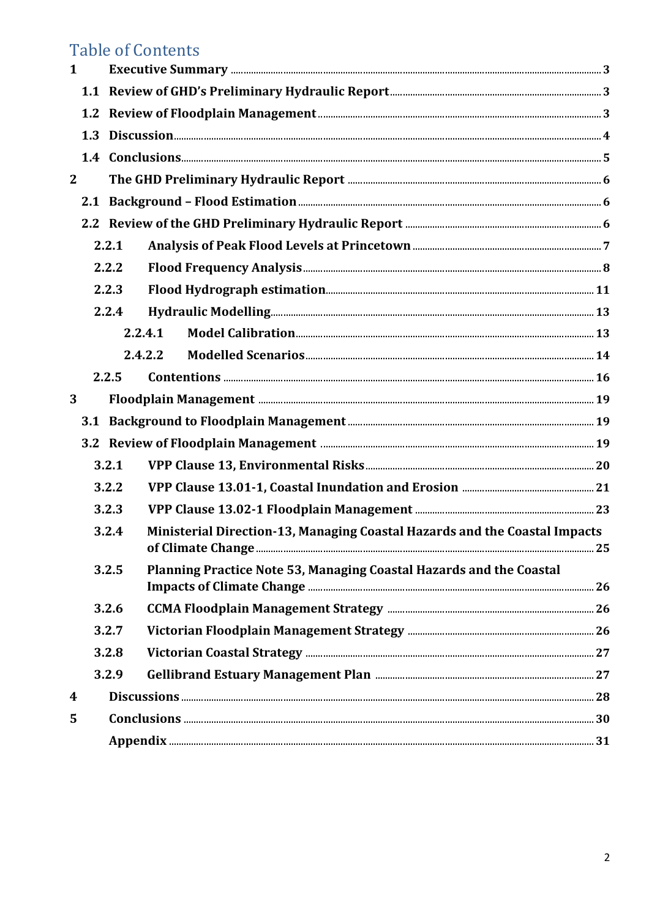# **Table of Contents**

| $\mathbf{1}$ |     |       |                                                                            |  |  |  |  |  |  |  |
|--------------|-----|-------|----------------------------------------------------------------------------|--|--|--|--|--|--|--|
|              |     |       |                                                                            |  |  |  |  |  |  |  |
|              |     |       |                                                                            |  |  |  |  |  |  |  |
|              | 1.3 |       |                                                                            |  |  |  |  |  |  |  |
|              |     |       |                                                                            |  |  |  |  |  |  |  |
| $\mathbf{2}$ |     |       |                                                                            |  |  |  |  |  |  |  |
|              |     |       |                                                                            |  |  |  |  |  |  |  |
|              |     |       |                                                                            |  |  |  |  |  |  |  |
|              |     | 2.2.1 |                                                                            |  |  |  |  |  |  |  |
|              |     | 2.2.2 |                                                                            |  |  |  |  |  |  |  |
|              |     | 2.2.3 |                                                                            |  |  |  |  |  |  |  |
|              |     | 2.2.4 |                                                                            |  |  |  |  |  |  |  |
|              |     |       | 2.2.4.1                                                                    |  |  |  |  |  |  |  |
|              |     |       | 2.4.2.2                                                                    |  |  |  |  |  |  |  |
|              |     | 2.2.5 |                                                                            |  |  |  |  |  |  |  |
| 3            |     |       |                                                                            |  |  |  |  |  |  |  |
|              |     |       |                                                                            |  |  |  |  |  |  |  |
|              |     |       |                                                                            |  |  |  |  |  |  |  |
|              |     | 3.2.1 |                                                                            |  |  |  |  |  |  |  |
|              |     | 3.2.2 |                                                                            |  |  |  |  |  |  |  |
|              |     | 3.2.3 |                                                                            |  |  |  |  |  |  |  |
|              |     | 3.2.4 | Ministerial Direction-13, Managing Coastal Hazards and the Coastal Impacts |  |  |  |  |  |  |  |
|              |     | 3.2.5 | Planning Practice Note 53, Managing Coastal Hazards and the Coastal        |  |  |  |  |  |  |  |
|              |     | 3.2.6 |                                                                            |  |  |  |  |  |  |  |
|              |     | 3.2.7 |                                                                            |  |  |  |  |  |  |  |
|              |     | 3.2.8 |                                                                            |  |  |  |  |  |  |  |
|              |     | 3.2.9 |                                                                            |  |  |  |  |  |  |  |
| 4            |     |       |                                                                            |  |  |  |  |  |  |  |
| 5            |     |       |                                                                            |  |  |  |  |  |  |  |
|              |     |       |                                                                            |  |  |  |  |  |  |  |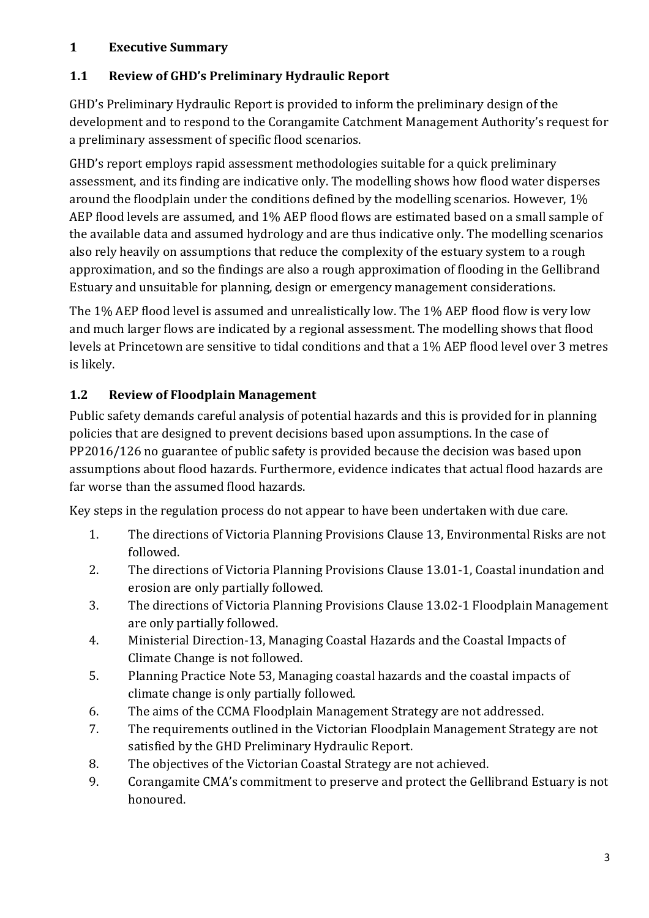## **1 Executive Summary**

## **1.1 Review of GHD's Preliminary Hydraulic Report**

GHD's Preliminary Hydraulic Report is provided to inform the preliminary design of the development and to respond to the Corangamite Catchment Management Authority's request for a preliminary assessment of specific flood scenarios.

GHD's report employs rapid assessment methodologies suitable for a quick preliminary assessment, and its finding are indicative only. The modelling shows how flood water disperses around the floodplain under the conditions defined by the modelling scenarios. However, 1% AEP flood levels are assumed, and 1% AEP flood flows are estimated based on a small sample of the available data and assumed hydrology and are thus indicative only. The modelling scenarios also rely heavily on assumptions that reduce the complexity of the estuary system to a rough approximation, and so the findings are also a rough approximation of flooding in the Gellibrand Estuary and unsuitable for planning, design or emergency management considerations.

The 1% AEP flood level is assumed and unrealistically low. The 1% AEP flood flow is very low and much larger flows are indicated by a regional assessment. The modelling shows that flood levels at Princetown are sensitive to tidal conditions and that a 1% AEP flood level over 3 metres is likely.

## **1.2 Review of Floodplain Management**

Public safety demands careful analysis of potential hazards and this is provided for in planning policies that are designed to prevent decisions based upon assumptions. In the case of PP2016/126 no guarantee of public safety is provided because the decision was based upon assumptions about flood hazards. Furthermore, evidence indicates that actual flood hazards are far worse than the assumed flood hazards.

Key steps in the regulation process do not appear to have been undertaken with due care.

- 1. The directions of Victoria Planning Provisions Clause 13, Environmental Risks are not followed.
- 2. The directions of Victoria Planning Provisions Clause 13.01-1, Coastal inundation and erosion are only partially followed.
- 3. The directions of Victoria Planning Provisions Clause 13.02-1 Floodplain Management are only partially followed.
- 4. Ministerial Direction-13, Managing Coastal Hazards and the Coastal Impacts of Climate Change is not followed.
- 5. Planning Practice Note 53, Managing coastal hazards and the coastal impacts of climate change is only partially followed.
- 6. The aims of the CCMA Floodplain Management Strategy are not addressed.
- 7. The requirements outlined in the Victorian Floodplain Management Strategy are not satisfied by the GHD Preliminary Hydraulic Report.
- 8. The objectives of the Victorian Coastal Strategy are not achieved.
- 9. Corangamite CMA's commitment to preserve and protect the Gellibrand Estuary is not honoured.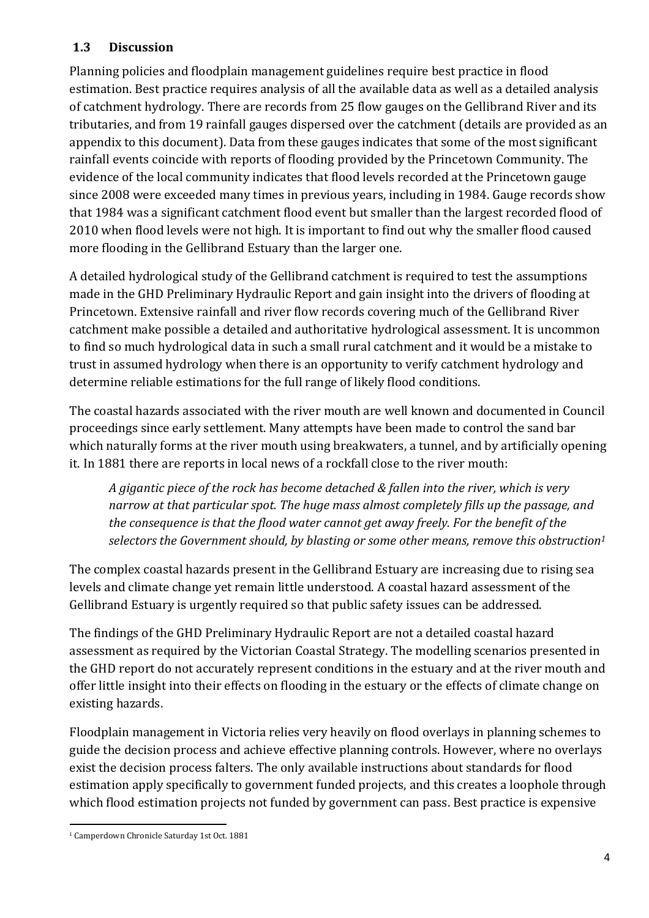## **1.3 Discussion**

Planning policies and floodplain management guidelines require best practice in flood estimation. Best practice requires analysis of all the available data as well as a detailed analysis of catchment hydrology. There are records from 25 flow gauges on the Gellibrand River and its tributaries, and from 19 rainfall gauges dispersed over the catchment (details are provided as an appendix to this document). Data from these gauges indicates that some of the most significant rainfall events coincide with reports of flooding provided by the Princetown Community. The evidence of the local community indicates that flood levels recorded at the Princetown gauge since 2008 were exceeded many times in previous years, including in 1984. Gauge records show that 1984 was a significant catchment flood event but smaller than the largest recorded flood of 2010 when flood levels were not high. It is important to find out why the smaller flood caused more flooding in the Gellibrand Estuary than the larger one.

A detailed hydrological study of the Gellibrand catchment is required to test the assumptions made in the GHD Preliminary Hydraulic Report and gain insight into the drivers of flooding at Princetown. Extensive rainfall and river flow records covering much of the Gellibrand River catchment make possible a detailed and authoritative hydrological assessment. It is uncommon to find so much hydrological data in such a small rural catchment and it would be a mistake to trust in assumed hydrology when there is an opportunity to verify catchment hydrology and determine reliable estimations for the full range of likely flood conditions.

The coastal hazards associated with the river mouth are well known and documented in Council proceedings since early settlement. Many attempts have been made to control the sand bar which naturally forms at the river mouth using breakwaters, a tunnel, and by artificially opening it. In 1881 there are reports in local news of a rockfall close to the river mouth:

*A gigantic piece of the rock has become detached & fallen into the river, which is very narrow at that particular spot. The huge mass almost completely fills up the passage, and the consequence is that the flood water cannot get away freely. For the benefit of the selectors the Government should, by blasting or some other means, remove this obstruction<sup>1</sup>*

The complex coastal hazards present in the Gellibrand Estuary are increasing due to rising sea levels and climate change yet remain little understood. A coastal hazard assessment of the Gellibrand Estuary is urgently required so that public safety issues can be addressed.

The findings of the GHD Preliminary Hydraulic Report are not a detailed coastal hazard assessment as required by the Victorian Coastal Strategy. The modelling scenarios presented in the GHD report do not accurately represent conditions in the estuary and at the river mouth and offer little insight into their effects on flooding in the estuary or the effects of climate change on existing hazards.

Floodplain management in Victoria relies very heavily on flood overlays in planning schemes to guide the decision process and achieve effective planning controls. However, where no overlays exist the decision process falters. The only available instructions about standards for flood estimation apply specifically to government funded projects, and this creates a loophole through which flood estimation projects not funded by government can pass. Best practice is expensive

l 1 Camperdown Chronicle Saturday 1st Oct. 1881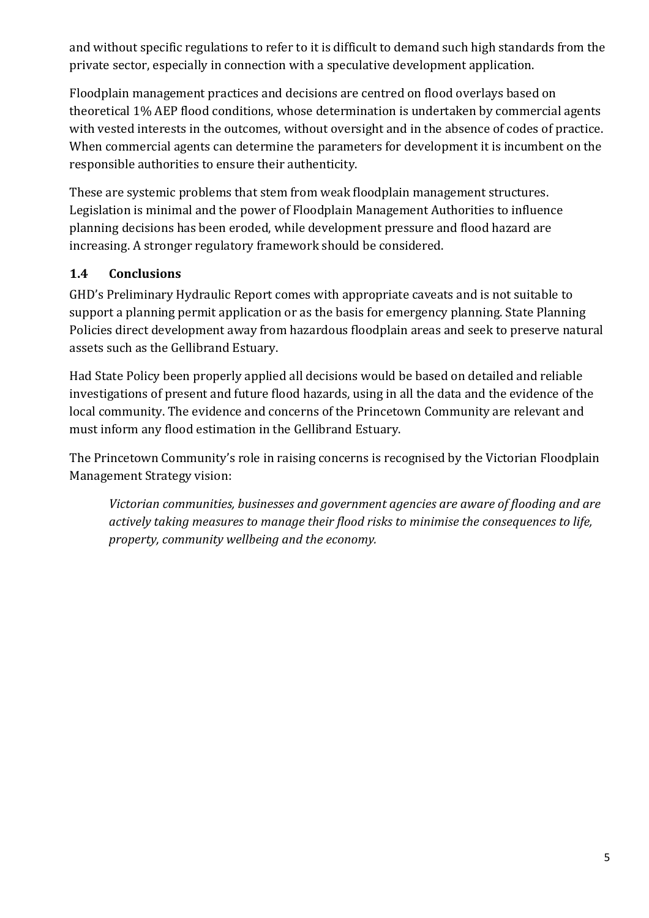and without specific regulations to refer to it is difficult to demand such high standards from the private sector, especially in connection with a speculative development application.

Floodplain management practices and decisions are centred on flood overlays based on theoretical 1% AEP flood conditions, whose determination is undertaken by commercial agents with vested interests in the outcomes, without oversight and in the absence of codes of practice. When commercial agents can determine the parameters for development it is incumbent on the responsible authorities to ensure their authenticity.

These are systemic problems that stem from weak floodplain management structures. Legislation is minimal and the power of Floodplain Management Authorities to influence planning decisions has been eroded, while development pressure and flood hazard are increasing. A stronger regulatory framework should be considered.

## **1.4 Conclusions**

GHD's Preliminary Hydraulic Report comes with appropriate caveats and is not suitable to support a planning permit application or as the basis for emergency planning. State Planning Policies direct development away from hazardous floodplain areas and seek to preserve natural assets such as the Gellibrand Estuary.

Had State Policy been properly applied all decisions would be based on detailed and reliable investigations of present and future flood hazards, using in all the data and the evidence of the local community. The evidence and concerns of the Princetown Community are relevant and must inform any flood estimation in the Gellibrand Estuary.

The Princetown Community's role in raising concerns is recognised by the Victorian Floodplain Management Strategy vision:

*Victorian communities, businesses and government agencies are aware of flooding and are actively taking measures to manage their flood risks to minimise the consequences to life, property, community wellbeing and the economy.*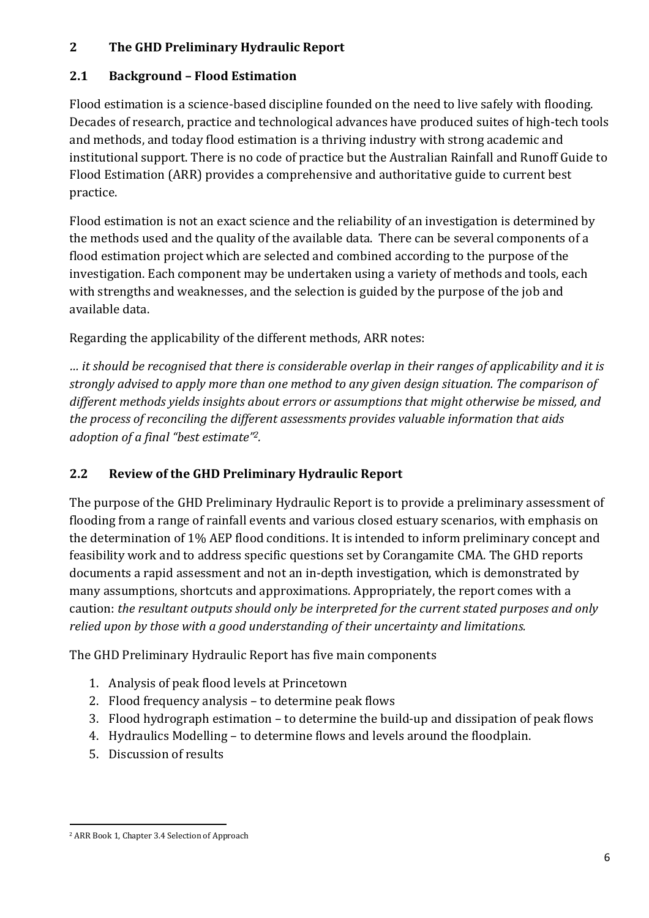## **2 The GHD Preliminary Hydraulic Report**

## **2.1 Background – Flood Estimation**

Flood estimation is a science-based discipline founded on the need to live safely with flooding. Decades of research, practice and technological advances have produced suites of high-tech tools and methods, and today flood estimation is a thriving industry with strong academic and institutional support. There is no code of practice but the Australian Rainfall and Runoff Guide to Flood Estimation (ARR) provides a comprehensive and authoritative guide to current best practice.

Flood estimation is not an exact science and the reliability of an investigation is determined by the methods used and the quality of the available data. There can be several components of a flood estimation project which are selected and combined according to the purpose of the investigation. Each component may be undertaken using a variety of methods and tools, each with strengths and weaknesses, and the selection is guided by the purpose of the job and available data.

Regarding the applicability of the different methods, ARR notes:

*… it should be recognised that there is considerable overlap in their ranges of applicability and it is strongly advised to apply more than one method to any given design situation. The comparison of different methods yields insights about errors or assumptions that might otherwise be missed, and the process of reconciling the different assessments provides valuable information that aids adoption of a final "best estimate"2.*

## **2.2 Review of the GHD Preliminary Hydraulic Report**

The purpose of the GHD Preliminary Hydraulic Report is to provide a preliminary assessment of flooding from a range of rainfall events and various closed estuary scenarios, with emphasis on the determination of 1% AEP flood conditions. It is intended to inform preliminary concept and feasibility work and to address specific questions set by Corangamite CMA. The GHD reports documents a rapid assessment and not an in-depth investigation, which is demonstrated by many assumptions, shortcuts and approximations. Appropriately, the report comes with a caution: *the resultant outputs should only be interpreted for the current stated purposes and only relied upon by those with a good understanding of their uncertainty and limitations.*

The GHD Preliminary Hydraulic Report has five main components

- 1. Analysis of peak flood levels at Princetown
- 2. Flood frequency analysis to determine peak flows
- 3. Flood hydrograph estimation to determine the build-up and dissipation of peak flows
- 4. Hydraulics Modelling to determine flows and levels around the floodplain.
- 5. Discussion of results

l 2 ARR Book 1, Chapter 3.4 Selection of Approach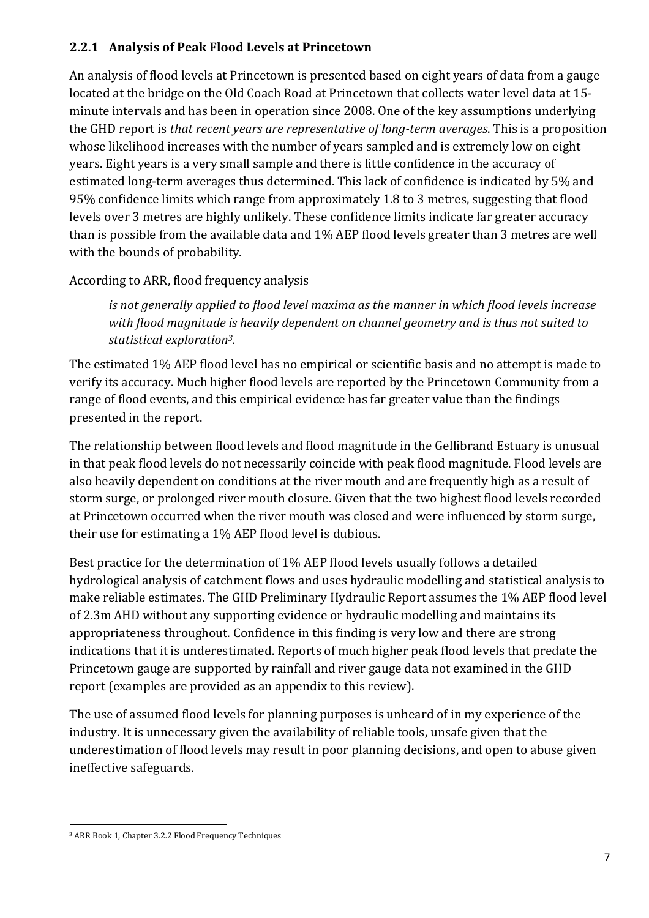### **2.2.1 Analysis of Peak Flood Levels at Princetown**

An analysis of flood levels at Princetown is presented based on eight years of data from a gauge located at the bridge on the Old Coach Road at Princetown that collects water level data at 15 minute intervals and has been in operation since 2008. One of the key assumptions underlying the GHD report is *that recent years are representative of long-term averages*. This is a proposition whose likelihood increases with the number of years sampled and is extremely low on eight years. Eight years is a very small sample and there is little confidence in the accuracy of estimated long-term averages thus determined. This lack of confidence is indicated by 5% and 95% confidence limits which range from approximately 1.8 to 3 metres, suggesting that flood levels over 3 metres are highly unlikely. These confidence limits indicate far greater accuracy than is possible from the available data and 1% AEP flood levels greater than 3 metres are well with the bounds of probability.

## According to ARR, flood frequency analysis

*is not generally applied to flood level maxima as the manner in which flood levels increase with flood magnitude is heavily dependent on channel geometry and is thus not suited to statistical exploration3.* 

The estimated 1% AEP flood level has no empirical or scientific basis and no attempt is made to verify its accuracy. Much higher flood levels are reported by the Princetown Community from a range of flood events, and this empirical evidence has far greater value than the findings presented in the report.

The relationship between flood levels and flood magnitude in the Gellibrand Estuary is unusual in that peak flood levels do not necessarily coincide with peak flood magnitude. Flood levels are also heavily dependent on conditions at the river mouth and are frequently high as a result of storm surge, or prolonged river mouth closure. Given that the two highest flood levels recorded at Princetown occurred when the river mouth was closed and were influenced by storm surge, their use for estimating a 1% AEP flood level is dubious.

Best practice for the determination of 1% AEP flood levels usually follows a detailed hydrological analysis of catchment flows and uses hydraulic modelling and statistical analysis to make reliable estimates. The GHD Preliminary Hydraulic Report assumes the 1% AEP flood level of 2.3m AHD without any supporting evidence or hydraulic modelling and maintains its appropriateness throughout. Confidence in this finding is very low and there are strong indications that it is underestimated. Reports of much higher peak flood levels that predate the Princetown gauge are supported by rainfall and river gauge data not examined in the GHD report (examples are provided as an appendix to this review).

The use of assumed flood levels for planning purposes is unheard of in my experience of the industry. It is unnecessary given the availability of reliable tools, unsafe given that the underestimation of flood levels may result in poor planning decisions, and open to abuse given ineffective safeguards.

l

<sup>3</sup> ARR Book 1, Chapter 3.2.2 Flood Frequency Techniques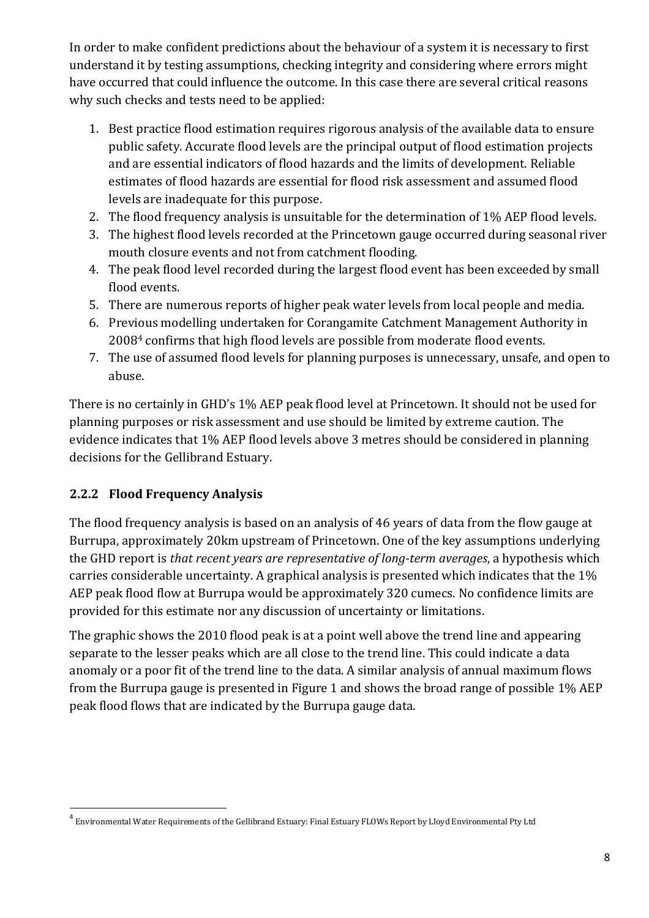In order to make confident predictions about the behaviour of a system it is necessary to first understand it by testing assumptions, checking integrity and considering where errors might have occurred that could influence the outcome. In this case there are several critical reasons why such checks and tests need to be applied:

- 1. Best practice flood estimation requires rigorous analysis of the available data to ensure public safety. Accurate flood levels are the principal output of flood estimation projects and are essential indicators of flood hazards and the limits of development. Reliable estimates of flood hazards are essential for flood risk assessment and assumed flood levels are inadequate for this purpose.
- 2. The flood frequency analysis is unsuitable for the determination of 1% AEP flood levels.
- 3. The highest flood levels recorded at the Princetown gauge occurred during seasonal river mouth closure events and not from catchment flooding.
- 4. The peak flood level recorded during the largest flood event has been exceeded by small flood events.
- 5. There are numerous reports of higher peak water levels from local people and media.
- 6. Previous modelling undertaken for Corangamite Catchment Management Authority in 20084 confirms that high flood levels are possible from moderate flood events.
- 7. The use of assumed flood levels for planning purposes is unnecessary, unsafe, and open to abuse.

There is no certainly in GHD's 1% AEP peak flood level at Princetown. It should not be used for planning purposes or risk assessment and use should be limited by extreme caution. The evidence indicates that 1% AEP flood levels above 3 metres should be considered in planning decisions for the Gellibrand Estuary.

## **2.2.2 Flood Frequency Analysis**

l

The flood frequency analysis is based on an analysis of 46 years of data from the flow gauge at Burrupa, approximately 20km upstream of Princetown. One of the key assumptions underlying the GHD report is *that recent years are representative of long-term averages*, a hypothesis which carries considerable uncertainty. A graphical analysis is presented which indicates that the 1% AEP peak flood flow at Burrupa would be approximately 320 cumecs. No confidence limits are provided for this estimate nor any discussion of uncertainty or limitations.

The graphic shows the 2010 flood peak is at a point well above the trend line and appearing separate to the lesser peaks which are all close to the trend line. This could indicate a data anomaly or a poor fit of the trend line to the data. A similar analysis of annual maximum flows from the Burrupa gauge is presented in Figure 1 and shows the broad range of possible 1% AEP peak flood flows that are indicated by the Burrupa gauge data.

<sup>&</sup>lt;sup>4</sup> Environmental Water Requirements of the Gellibrand Estuary: Final Estuary FLOWs Report by Lloyd Environmental Pty Ltd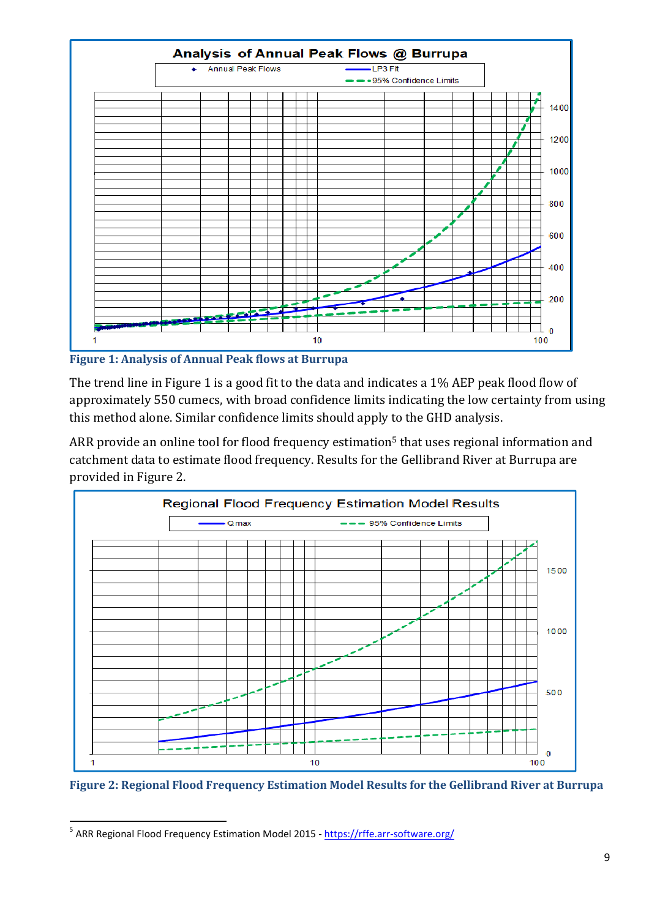

**Figure 1: Analysis of Annual Peak flows at Burrupa** 

The trend line in Figure 1 is a good fit to the data and indicates a 1% AEP peak flood flow of approximately 550 cumecs, with broad confidence limits indicating the low certainty from using this method alone. Similar confidence limits should apply to the GHD analysis.

ARR provide an online tool for flood frequency estimation<sup>5</sup> that uses regional information and catchment data to estimate flood frequency. Results for the Gellibrand River at Burrupa are provided in Figure 2.



**Figure 2: Regional Flood Frequency Estimation Model Results for the Gellibrand River at Burrupa** 

 $\overline{a}$ 

<sup>&</sup>lt;sup>5</sup> ARR Regional Flood Frequency Estimation Model 2015 - https://rffe.arr-software.org/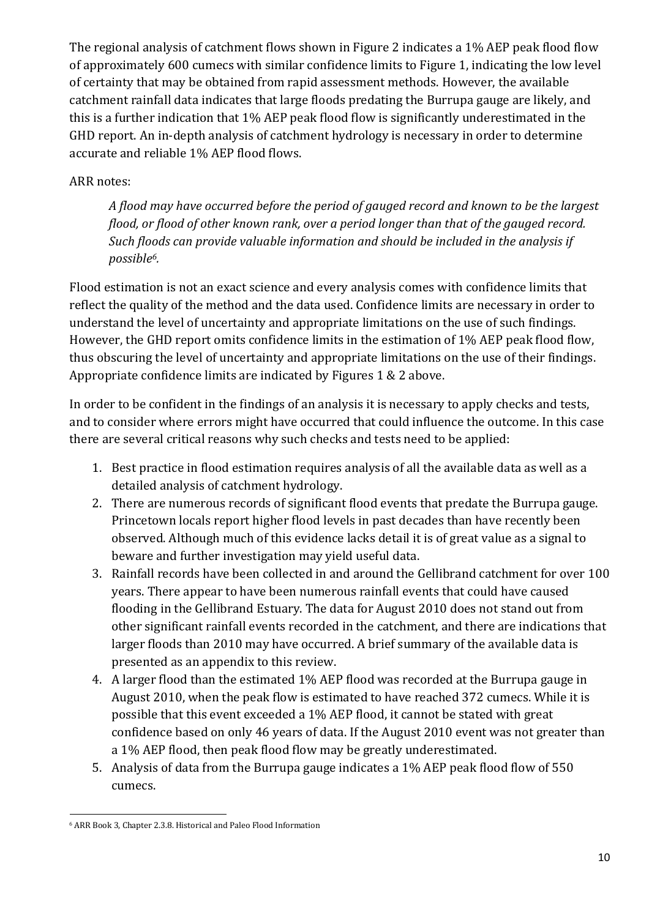The regional analysis of catchment flows shown in Figure 2 indicates a 1% AEP peak flood flow of approximately 600 cumecs with similar confidence limits to Figure 1, indicating the low level of certainty that may be obtained from rapid assessment methods. However, the available catchment rainfall data indicates that large floods predating the Burrupa gauge are likely, and this is a further indication that 1% AEP peak flood flow is significantly underestimated in the GHD report. An in-depth analysis of catchment hydrology is necessary in order to determine accurate and reliable 1% AEP flood flows.

### ARR notes:

*A flood may have occurred before the period of gauged record and known to be the largest flood, or flood of other known rank, over a period longer than that of the gauged record. Such floods can provide valuable information and should be included in the analysis if possible6.* 

Flood estimation is not an exact science and every analysis comes with confidence limits that reflect the quality of the method and the data used. Confidence limits are necessary in order to understand the level of uncertainty and appropriate limitations on the use of such findings. However, the GHD report omits confidence limits in the estimation of 1% AEP peak flood flow, thus obscuring the level of uncertainty and appropriate limitations on the use of their findings. Appropriate confidence limits are indicated by Figures 1 & 2 above.

In order to be confident in the findings of an analysis it is necessary to apply checks and tests, and to consider where errors might have occurred that could influence the outcome. In this case there are several critical reasons why such checks and tests need to be applied:

- 1. Best practice in flood estimation requires analysis of all the available data as well as a detailed analysis of catchment hydrology.
- 2. There are numerous records of significant flood events that predate the Burrupa gauge. Princetown locals report higher flood levels in past decades than have recently been observed. Although much of this evidence lacks detail it is of great value as a signal to beware and further investigation may yield useful data.
- 3. Rainfall records have been collected in and around the Gellibrand catchment for over 100 years. There appear to have been numerous rainfall events that could have caused flooding in the Gellibrand Estuary. The data for August 2010 does not stand out from other significant rainfall events recorded in the catchment, and there are indications that larger floods than 2010 may have occurred. A brief summary of the available data is presented as an appendix to this review.
- 4. A larger flood than the estimated 1% AEP flood was recorded at the Burrupa gauge in August 2010, when the peak flow is estimated to have reached 372 cumecs. While it is possible that this event exceeded a 1% AEP flood, it cannot be stated with great confidence based on only 46 years of data. If the August 2010 event was not greater than a 1% AEP flood, then peak flood flow may be greatly underestimated.
- 5. Analysis of data from the Burrupa gauge indicates a 1% AEP peak flood flow of 550 cumecs.

l 6 ARR Book 3, Chapter 2.3.8. Historical and Paleo Flood Information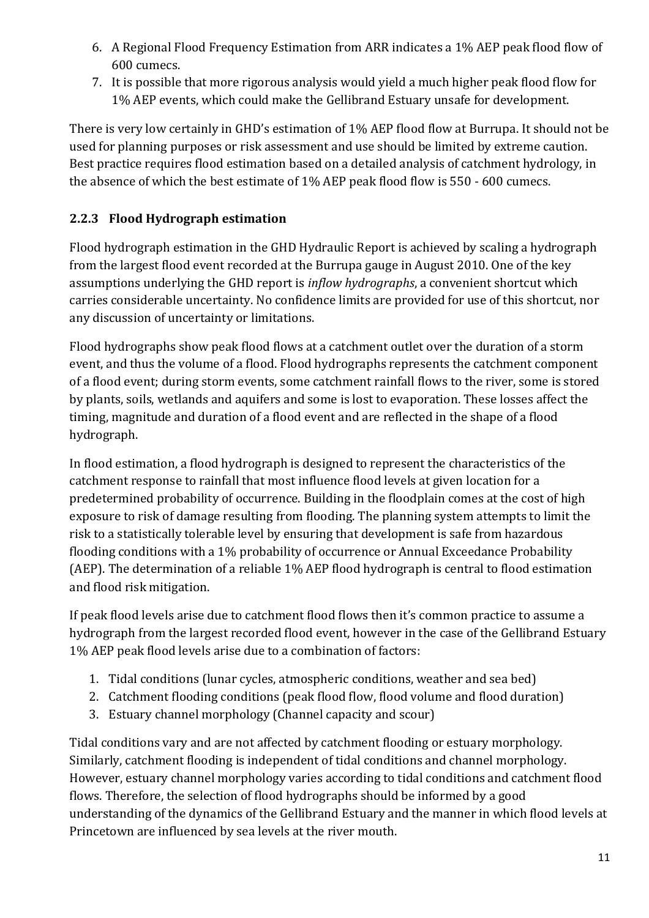- 6. A Regional Flood Frequency Estimation from ARR indicates a 1% AEP peak flood flow of 600 cumecs.
- 7. It is possible that more rigorous analysis would yield a much higher peak flood flow for 1% AEP events, which could make the Gellibrand Estuary unsafe for development.

There is very low certainly in GHD's estimation of 1% AEP flood flow at Burrupa. It should not be used for planning purposes or risk assessment and use should be limited by extreme caution. Best practice requires flood estimation based on a detailed analysis of catchment hydrology, in the absence of which the best estimate of 1% AEP peak flood flow is 550 - 600 cumecs.

## **2.2.3 Flood Hydrograph estimation**

Flood hydrograph estimation in the GHD Hydraulic Report is achieved by scaling a hydrograph from the largest flood event recorded at the Burrupa gauge in August 2010. One of the key assumptions underlying the GHD report is *inflow hydrographs*, a convenient shortcut which carries considerable uncertainty. No confidence limits are provided for use of this shortcut, nor any discussion of uncertainty or limitations.

Flood hydrographs show peak flood flows at a catchment outlet over the duration of a storm event, and thus the volume of a flood. Flood hydrographs represents the catchment component of a flood event; during storm events, some catchment rainfall flows to the river, some is stored by plants, soils, wetlands and aquifers and some is lost to evaporation. These losses affect the timing, magnitude and duration of a flood event and are reflected in the shape of a flood hydrograph.

In flood estimation, a flood hydrograph is designed to represent the characteristics of the catchment response to rainfall that most influence flood levels at given location for a predetermined probability of occurrence. Building in the floodplain comes at the cost of high exposure to risk of damage resulting from flooding. The planning system attempts to limit the risk to a statistically tolerable level by ensuring that development is safe from hazardous flooding conditions with a 1% probability of occurrence or Annual Exceedance Probability (AEP). The determination of a reliable 1% AEP flood hydrograph is central to flood estimation and flood risk mitigation.

If peak flood levels arise due to catchment flood flows then it's common practice to assume a hydrograph from the largest recorded flood event, however in the case of the Gellibrand Estuary 1% AEP peak flood levels arise due to a combination of factors:

- 1. Tidal conditions (lunar cycles, atmospheric conditions, weather and sea bed)
- 2. Catchment flooding conditions (peak flood flow, flood volume and flood duration)
- 3. Estuary channel morphology (Channel capacity and scour)

Tidal conditions vary and are not affected by catchment flooding or estuary morphology. Similarly, catchment flooding is independent of tidal conditions and channel morphology. However, estuary channel morphology varies according to tidal conditions and catchment flood flows. Therefore, the selection of flood hydrographs should be informed by a good understanding of the dynamics of the Gellibrand Estuary and the manner in which flood levels at Princetown are influenced by sea levels at the river mouth.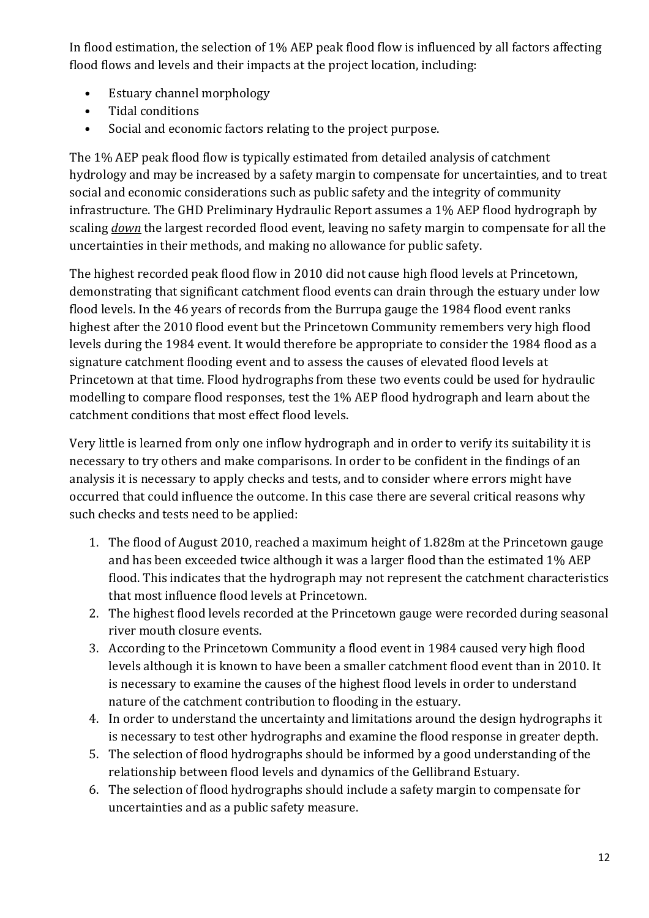In flood estimation, the selection of 1% AEP peak flood flow is influenced by all factors affecting flood flows and levels and their impacts at the project location, including:

- Estuary channel morphology
- Tidal conditions
- Social and economic factors relating to the project purpose.

The 1% AEP peak flood flow is typically estimated from detailed analysis of catchment hydrology and may be increased by a safety margin to compensate for uncertainties, and to treat social and economic considerations such as public safety and the integrity of community infrastructure. The GHD Preliminary Hydraulic Report assumes a 1% AEP flood hydrograph by scaling *down* the largest recorded flood event, leaving no safety margin to compensate for all the uncertainties in their methods, and making no allowance for public safety.

The highest recorded peak flood flow in 2010 did not cause high flood levels at Princetown, demonstrating that significant catchment flood events can drain through the estuary under low flood levels. In the 46 years of records from the Burrupa gauge the 1984 flood event ranks highest after the 2010 flood event but the Princetown Community remembers very high flood levels during the 1984 event. It would therefore be appropriate to consider the 1984 flood as a signature catchment flooding event and to assess the causes of elevated flood levels at Princetown at that time. Flood hydrographs from these two events could be used for hydraulic modelling to compare flood responses, test the 1% AEP flood hydrograph and learn about the catchment conditions that most effect flood levels.

Very little is learned from only one inflow hydrograph and in order to verify its suitability it is necessary to try others and make comparisons. In order to be confident in the findings of an analysis it is necessary to apply checks and tests, and to consider where errors might have occurred that could influence the outcome. In this case there are several critical reasons why such checks and tests need to be applied:

- 1. The flood of August 2010, reached a maximum height of 1.828m at the Princetown gauge and has been exceeded twice although it was a larger flood than the estimated 1% AEP flood. This indicates that the hydrograph may not represent the catchment characteristics that most influence flood levels at Princetown.
- 2. The highest flood levels recorded at the Princetown gauge were recorded during seasonal river mouth closure events.
- 3. According to the Princetown Community a flood event in 1984 caused very high flood levels although it is known to have been a smaller catchment flood event than in 2010. It is necessary to examine the causes of the highest flood levels in order to understand nature of the catchment contribution to flooding in the estuary.
- 4. In order to understand the uncertainty and limitations around the design hydrographs it is necessary to test other hydrographs and examine the flood response in greater depth.
- 5. The selection of flood hydrographs should be informed by a good understanding of the relationship between flood levels and dynamics of the Gellibrand Estuary.
- 6. The selection of flood hydrographs should include a safety margin to compensate for uncertainties and as a public safety measure.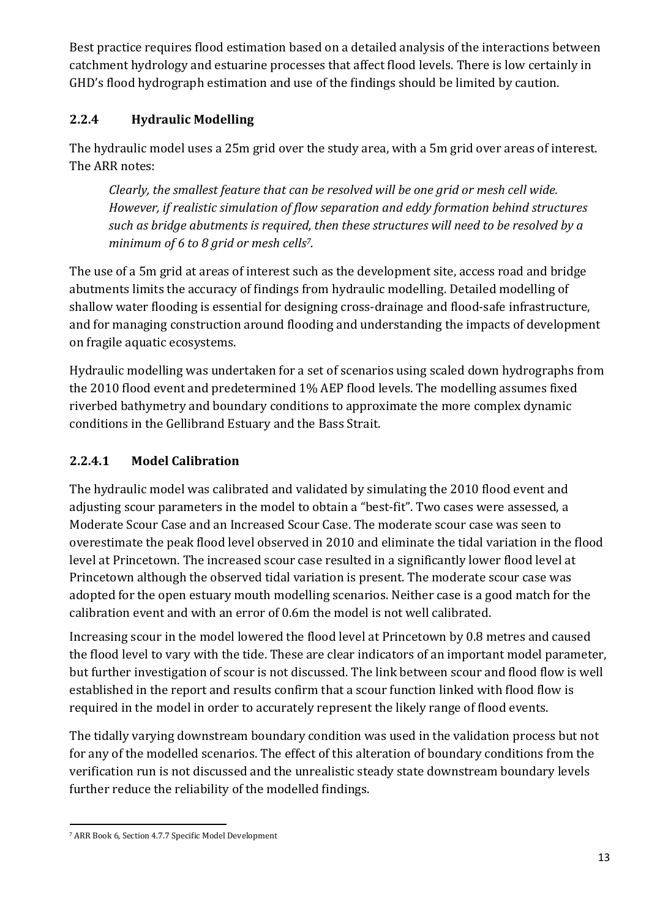Best practice requires flood estimation based on a detailed analysis of the interactions between catchment hydrology and estuarine processes that affect flood levels. There is low certainly in GHD's flood hydrograph estimation and use of the findings should be limited by caution.

## **2.2.4 Hydraulic Modelling**

The hydraulic model uses a 25m grid over the study area, with a 5m grid over areas of interest. The ARR notes:

*Clearly, the smallest feature that can be resolved will be one grid or mesh cell wide. However, if realistic simulation of flow separation and eddy formation behind structures such as bridge abutments is required, then these structures will need to be resolved by a minimum of 6 to 8 grid or mesh cells7.* 

The use of a 5m grid at areas of interest such as the development site, access road and bridge abutments limits the accuracy of findings from hydraulic modelling. Detailed modelling of shallow water flooding is essential for designing cross-drainage and flood-safe infrastructure, and for managing construction around flooding and understanding the impacts of development on fragile aquatic ecosystems.

Hydraulic modelling was undertaken for a set of scenarios using scaled down hydrographs from the 2010 flood event and predetermined 1% AEP flood levels. The modelling assumes fixed riverbed bathymetry and boundary conditions to approximate the more complex dynamic conditions in the Gellibrand Estuary and the Bass Strait.

## **2.2.4.1 Model Calibration**

The hydraulic model was calibrated and validated by simulating the 2010 flood event and adjusting scour parameters in the model to obtain a "best-fit". Two cases were assessed, a Moderate Scour Case and an Increased Scour Case. The moderate scour case was seen to overestimate the peak flood level observed in 2010 and eliminate the tidal variation in the flood level at Princetown. The increased scour case resulted in a significantly lower flood level at Princetown although the observed tidal variation is present. The moderate scour case was adopted for the open estuary mouth modelling scenarios. Neither case is a good match for the calibration event and with an error of 0.6m the model is not well calibrated.

Increasing scour in the model lowered the flood level at Princetown by 0.8 metres and caused the flood level to vary with the tide. These are clear indicators of an important model parameter, but further investigation of scour is not discussed. The link between scour and flood flow is well established in the report and results confirm that a scour function linked with flood flow is required in the model in order to accurately represent the likely range of flood events.

The tidally varying downstream boundary condition was used in the validation process but not for any of the modelled scenarios. The effect of this alteration of boundary conditions from the verification run is not discussed and the unrealistic steady state downstream boundary levels further reduce the reliability of the modelled findings.

l 7 ARR Book 6, Section 4.7.7 Specific Model Development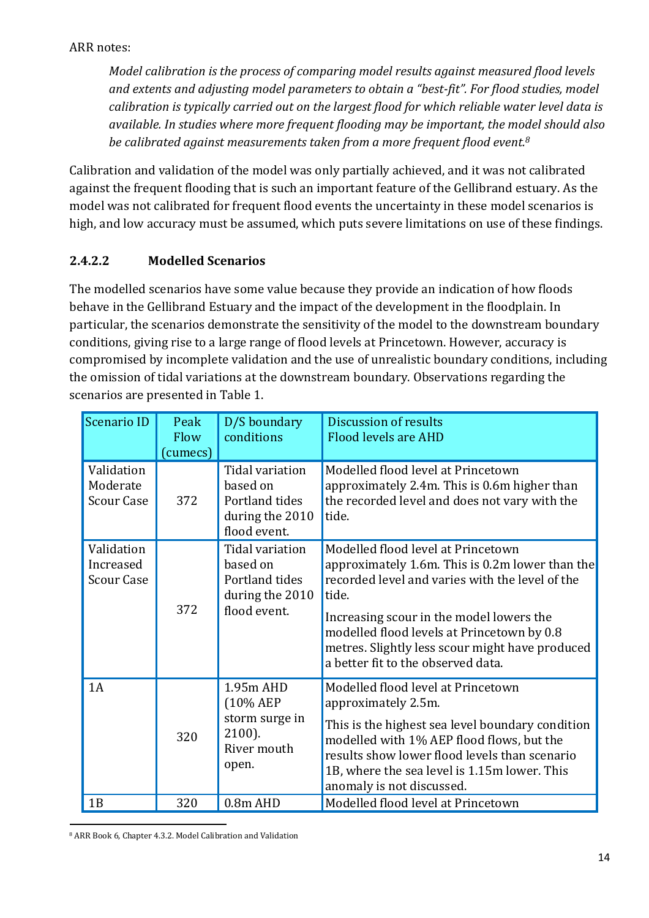### ARR notes:

*Model calibration is the process of comparing model results against measured flood levels and extents and adjusting model parameters to obtain a "best-fit". For flood studies, model calibration is typically carried out on the largest flood for which reliable water level data is available. In studies where more frequent flooding may be important, the model should also be calibrated against measurements taken from a more frequent flood event.<sup>8</sup>*

Calibration and validation of the model was only partially achieved, and it was not calibrated against the frequent flooding that is such an important feature of the Gellibrand estuary. As the model was not calibrated for frequent flood events the uncertainty in these model scenarios is high, and low accuracy must be assumed, which puts severe limitations on use of these findings.

## **2.4.2.2 Modelled Scenarios**

The modelled scenarios have some value because they provide an indication of how floods behave in the Gellibrand Estuary and the impact of the development in the floodplain. In particular, the scenarios demonstrate the sensitivity of the model to the downstream boundary conditions, giving rise to a large range of flood levels at Princetown. However, accuracy is compromised by incomplete validation and the use of unrealistic boundary conditions, including the omission of tidal variations at the downstream boundary. Observations regarding the scenarios are presented in Table 1.

| Scenario ID                                  | Peak<br>Flow<br>(cumecs) | D/S boundary<br>conditions                                                       | Discussion of results<br><b>Flood levels are AHD</b>                                                                                                                                                                                                                                                                                 |
|----------------------------------------------|--------------------------|----------------------------------------------------------------------------------|--------------------------------------------------------------------------------------------------------------------------------------------------------------------------------------------------------------------------------------------------------------------------------------------------------------------------------------|
| Validation<br>Moderate<br><b>Scour Case</b>  | 372                      | Tidal variation<br>based on<br>Portland tides<br>during the 2010<br>flood event. | Modelled flood level at Princetown<br>approximately 2.4m. This is 0.6m higher than<br>the recorded level and does not vary with the<br>tide.                                                                                                                                                                                         |
| Validation<br>Increased<br><b>Scour Case</b> | 372                      | Tidal variation<br>based on<br>Portland tides<br>during the 2010<br>flood event. | Modelled flood level at Princetown<br>approximately 1.6m. This is 0.2m lower than the<br>recorded level and varies with the level of the<br>tide.<br>Increasing scour in the model lowers the<br>modelled flood levels at Princetown by 0.8<br>metres. Slightly less scour might have produced<br>a better fit to the observed data. |
| 1A                                           | 320                      | 1.95m AHD<br>(10% AEP<br>storm surge in<br>2100).<br>River mouth<br>open.        | Modelled flood level at Princetown<br>approximately 2.5m.<br>This is the highest sea level boundary condition<br>modelled with 1% AEP flood flows, but the<br>results show lower flood levels than scenario<br>1B, where the sea level is 1.15m lower. This<br>anomaly is not discussed.                                             |
| 1B                                           | 320                      | 0.8m AHD                                                                         | Modelled flood level at Princetown                                                                                                                                                                                                                                                                                                   |

l 8 ARR Book 6, Chapter 4.3.2. Model Calibration and Validation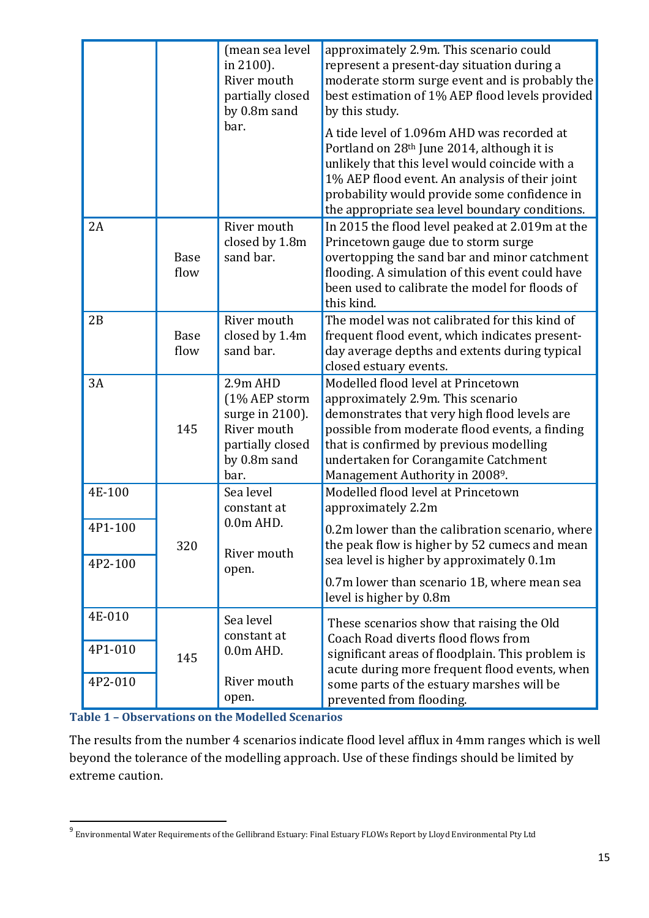|                    |                     | (mean sea level<br>in 2100).<br>River mouth<br>partially closed<br>by 0.8m sand                           | approximately 2.9m. This scenario could<br>represent a present-day situation during a<br>moderate storm surge event and is probably the<br>best estimation of 1% AEP flood levels provided<br>by this study.                                                                                               |
|--------------------|---------------------|-----------------------------------------------------------------------------------------------------------|------------------------------------------------------------------------------------------------------------------------------------------------------------------------------------------------------------------------------------------------------------------------------------------------------------|
|                    |                     | bar.                                                                                                      | A tide level of 1.096m AHD was recorded at<br>Portland on 28 <sup>th</sup> June 2014, although it is<br>unlikely that this level would coincide with a<br>1% AEP flood event. An analysis of their joint<br>probability would provide some confidence in<br>the appropriate sea level boundary conditions. |
| 2A                 | <b>Base</b><br>flow | River mouth<br>closed by 1.8m<br>sand bar.                                                                | In 2015 the flood level peaked at 2.019m at the<br>Princetown gauge due to storm surge<br>overtopping the sand bar and minor catchment<br>flooding. A simulation of this event could have<br>been used to calibrate the model for floods of<br>this kind.                                                  |
| 2B                 | <b>Base</b><br>flow | River mouth<br>closed by 1.4m<br>sand bar.                                                                | The model was not calibrated for this kind of<br>frequent flood event, which indicates present-<br>day average depths and extents during typical<br>closed estuary events.                                                                                                                                 |
| 3A                 | 145                 | $2.9m$ AHD<br>(1% AEP storm<br>surge in 2100).<br>River mouth<br>partially closed<br>by 0.8m sand<br>bar. | Modelled flood level at Princetown<br>approximately 2.9m. This scenario<br>demonstrates that very high flood levels are<br>possible from moderate flood events, a finding<br>that is confirmed by previous modelling<br>undertaken for Corangamite Catchment<br>Management Authority in 20089.             |
| 4E-100             |                     | Sea level<br>constant at                                                                                  | Modelled flood level at Princetown<br>approximately 2.2m                                                                                                                                                                                                                                                   |
| 4P1-100<br>4P2-100 | 320                 | 0.0m AHD<br>River mouth                                                                                   | 0.2m lower than the calibration scenario, where<br>the peak flow is higher by 52 cumecs and mean<br>sea level is higher by approximately 0.1m                                                                                                                                                              |
|                    |                     | open.                                                                                                     | 0.7m lower than scenario 1B, where mean sea<br>level is higher by 0.8m                                                                                                                                                                                                                                     |
| 4E-010<br>4P1-010  | 145                 | Sea level<br>constant at<br>0.0m AHD.                                                                     | These scenarios show that raising the Old<br>Coach Road diverts flood flows from<br>significant areas of floodplain. This problem is                                                                                                                                                                       |
| 4P2-010            |                     | River mouth<br>open.                                                                                      | acute during more frequent flood events, when<br>some parts of the estuary marshes will be<br>prevented from flooding.                                                                                                                                                                                     |

|  |  |  |  |  |  |  |  |  | <b>Table 1 - Observations on the Modelled Scenarios</b> |
|--|--|--|--|--|--|--|--|--|---------------------------------------------------------|
|--|--|--|--|--|--|--|--|--|---------------------------------------------------------|

The results from the number 4 scenarios indicate flood level afflux in 4mm ranges which is well beyond the tolerance of the modelling approach. Use of these findings should be limited by extreme caution.

 9 Environmental Water Requirements of the Gellibrand Estuary: Final Estuary FLOWs Report by Lloyd Environmental Pty Ltd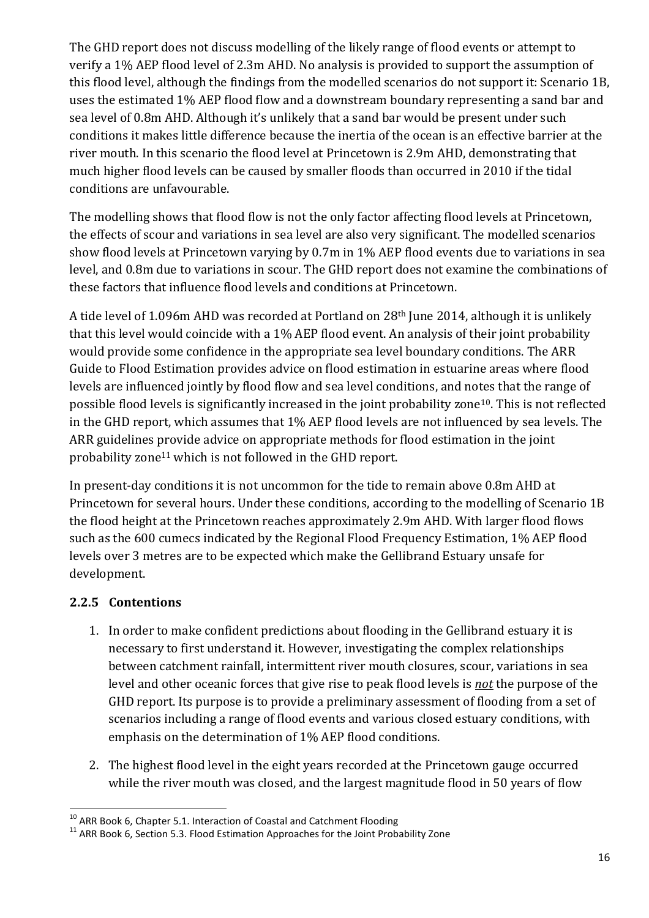The GHD report does not discuss modelling of the likely range of flood events or attempt to verify a 1% AEP flood level of 2.3m AHD. No analysis is provided to support the assumption of this flood level, although the findings from the modelled scenarios do not support it: Scenario 1B, uses the estimated 1% AEP flood flow and a downstream boundary representing a sand bar and sea level of 0.8m AHD. Although it's unlikely that a sand bar would be present under such conditions it makes little difference because the inertia of the ocean is an effective barrier at the river mouth. In this scenario the flood level at Princetown is 2.9m AHD, demonstrating that much higher flood levels can be caused by smaller floods than occurred in 2010 if the tidal conditions are unfavourable.

The modelling shows that flood flow is not the only factor affecting flood levels at Princetown, the effects of scour and variations in sea level are also very significant. The modelled scenarios show flood levels at Princetown varying by 0.7m in 1% AEP flood events due to variations in sea level, and 0.8m due to variations in scour. The GHD report does not examine the combinations of these factors that influence flood levels and conditions at Princetown.

A tide level of 1.096m AHD was recorded at Portland on 28th June 2014, although it is unlikely that this level would coincide with a 1% AEP flood event. An analysis of their joint probability would provide some confidence in the appropriate sea level boundary conditions. The ARR Guide to Flood Estimation provides advice on flood estimation in estuarine areas where flood levels are influenced jointly by flood flow and sea level conditions, and notes that the range of possible flood levels is significantly increased in the joint probability zone10. This is not reflected in the GHD report, which assumes that 1% AEP flood levels are not influenced by sea levels. The ARR guidelines provide advice on appropriate methods for flood estimation in the joint probability zone<sup>11</sup> which is not followed in the GHD report.

In present-day conditions it is not uncommon for the tide to remain above 0.8m AHD at Princetown for several hours. Under these conditions, according to the modelling of Scenario 1B the flood height at the Princetown reaches approximately 2.9m AHD. With larger flood flows such as the 600 cumecs indicated by the Regional Flood Frequency Estimation, 1% AEP flood levels over 3 metres are to be expected which make the Gellibrand Estuary unsafe for development.

### **2.2.5 Contentions**

l

- 1. In order to make confident predictions about flooding in the Gellibrand estuary it is necessary to first understand it. However, investigating the complex relationships between catchment rainfall, intermittent river mouth closures, scour, variations in sea level and other oceanic forces that give rise to peak flood levels is *not* the purpose of the GHD report. Its purpose is to provide a preliminary assessment of flooding from a set of scenarios including a range of flood events and various closed estuary conditions, with emphasis on the determination of 1% AEP flood conditions.
- 2. The highest flood level in the eight years recorded at the Princetown gauge occurred while the river mouth was closed, and the largest magnitude flood in 50 years of flow

 $10$  ARR Book 6, Chapter 5.1. Interaction of Coastal and Catchment Flooding

 $11$  ARR Book 6, Section 5.3. Flood Estimation Approaches for the Joint Probability Zone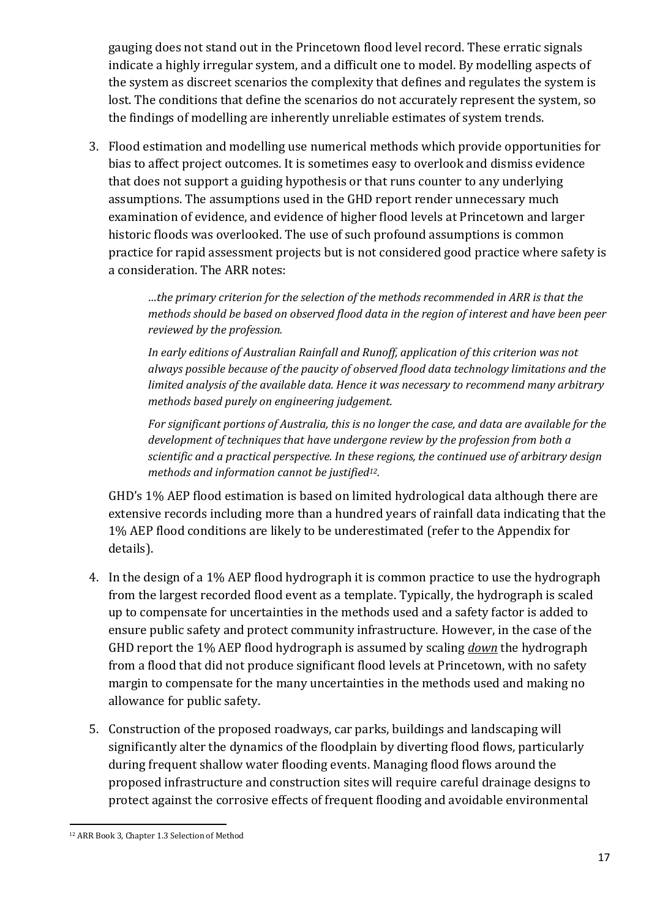gauging does not stand out in the Princetown flood level record. These erratic signals indicate a highly irregular system, and a difficult one to model. By modelling aspects of the system as discreet scenarios the complexity that defines and regulates the system is lost. The conditions that define the scenarios do not accurately represent the system, so the findings of modelling are inherently unreliable estimates of system trends.

3. Flood estimation and modelling use numerical methods which provide opportunities for bias to affect project outcomes. It is sometimes easy to overlook and dismiss evidence that does not support a guiding hypothesis or that runs counter to any underlying assumptions. The assumptions used in the GHD report render unnecessary much examination of evidence, and evidence of higher flood levels at Princetown and larger historic floods was overlooked. The use of such profound assumptions is common practice for rapid assessment projects but is not considered good practice where safety is a consideration. The ARR notes:

> *…the primary criterion for the selection of the methods recommended in ARR is that the methods should be based on observed flood data in the region of interest and have been peer reviewed by the profession.*

> *In early editions of Australian Rainfall and Runoff, application of this criterion was not always possible because of the paucity of observed flood data technology limitations and the limited analysis of the available data. Hence it was necessary to recommend many arbitrary methods based purely on engineering judgement.*

> *For significant portions of Australia, this is no longer the case, and data are available for the development of techniques that have undergone review by the profession from both a scientific and a practical perspective. In these regions, the continued use of arbitrary design methods and information cannot be justified12.*

GHD's 1% AEP flood estimation is based on limited hydrological data although there are extensive records including more than a hundred years of rainfall data indicating that the 1% AEP flood conditions are likely to be underestimated (refer to the Appendix for details).

- 4. In the design of a 1% AEP flood hydrograph it is common practice to use the hydrograph from the largest recorded flood event as a template. Typically, the hydrograph is scaled up to compensate for uncertainties in the methods used and a safety factor is added to ensure public safety and protect community infrastructure. However, in the case of the GHD report the 1% AEP flood hydrograph is assumed by scaling *down* the hydrograph from a flood that did not produce significant flood levels at Princetown, with no safety margin to compensate for the many uncertainties in the methods used and making no allowance for public safety.
- 5. Construction of the proposed roadways, car parks, buildings and landscaping will significantly alter the dynamics of the floodplain by diverting flood flows, particularly during frequent shallow water flooding events. Managing flood flows around the proposed infrastructure and construction sites will require careful drainage designs to protect against the corrosive effects of frequent flooding and avoidable environmental

l 12 ARR Book 3, Chapter 1.3 Selection of Method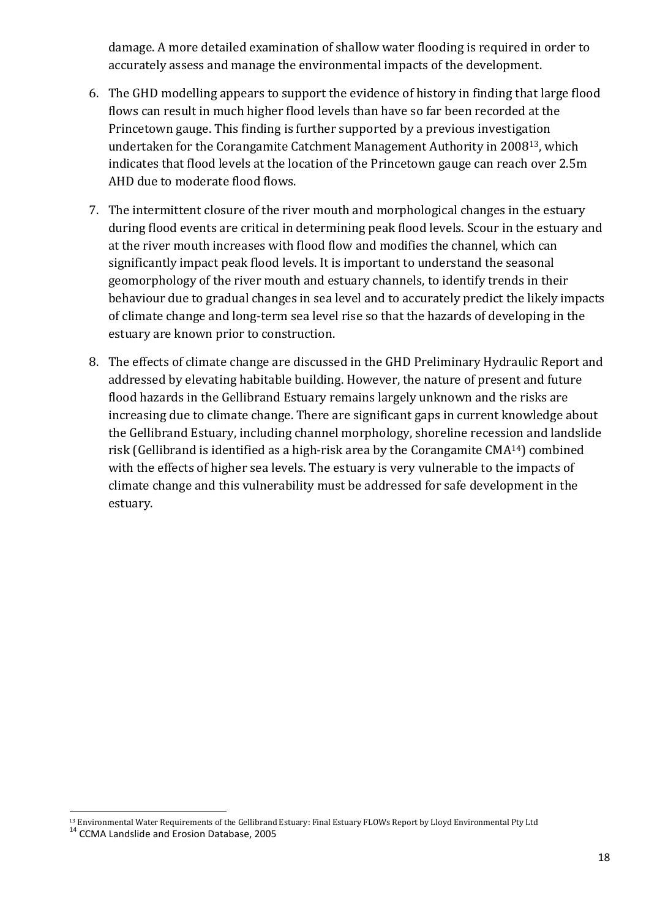damage. A more detailed examination of shallow water flooding is required in order to accurately assess and manage the environmental impacts of the development.

- 6. The GHD modelling appears to support the evidence of history in finding that large flood flows can result in much higher flood levels than have so far been recorded at the Princetown gauge. This finding is further supported by a previous investigation undertaken for the Corangamite Catchment Management Authority in 200813, which indicates that flood levels at the location of the Princetown gauge can reach over 2.5m AHD due to moderate flood flows.
- 7. The intermittent closure of the river mouth and morphological changes in the estuary during flood events are critical in determining peak flood levels. Scour in the estuary and at the river mouth increases with flood flow and modifies the channel, which can significantly impact peak flood levels. It is important to understand the seasonal geomorphology of the river mouth and estuary channels, to identify trends in their behaviour due to gradual changes in sea level and to accurately predict the likely impacts of climate change and long-term sea level rise so that the hazards of developing in the estuary are known prior to construction.
- 8. The effects of climate change are discussed in the GHD Preliminary Hydraulic Report and addressed by elevating habitable building. However, the nature of present and future flood hazards in the Gellibrand Estuary remains largely unknown and the risks are increasing due to climate change. There are significant gaps in current knowledge about the Gellibrand Estuary, including channel morphology, shoreline recession and landslide risk (Gellibrand is identified as a high-risk area by the Corangamite CMA14) combined with the effects of higher sea levels. The estuary is very vulnerable to the impacts of climate change and this vulnerability must be addressed for safe development in the estuary.

 $\overline{a}$ 

<sup>13</sup> Environmental Water Requirements of the Gellibrand Estuary: Final Estuary FLOWs Report by Lloyd Environmental Pty Ltd

<sup>&</sup>lt;sup>14</sup> CCMA Landslide and Erosion Database, 2005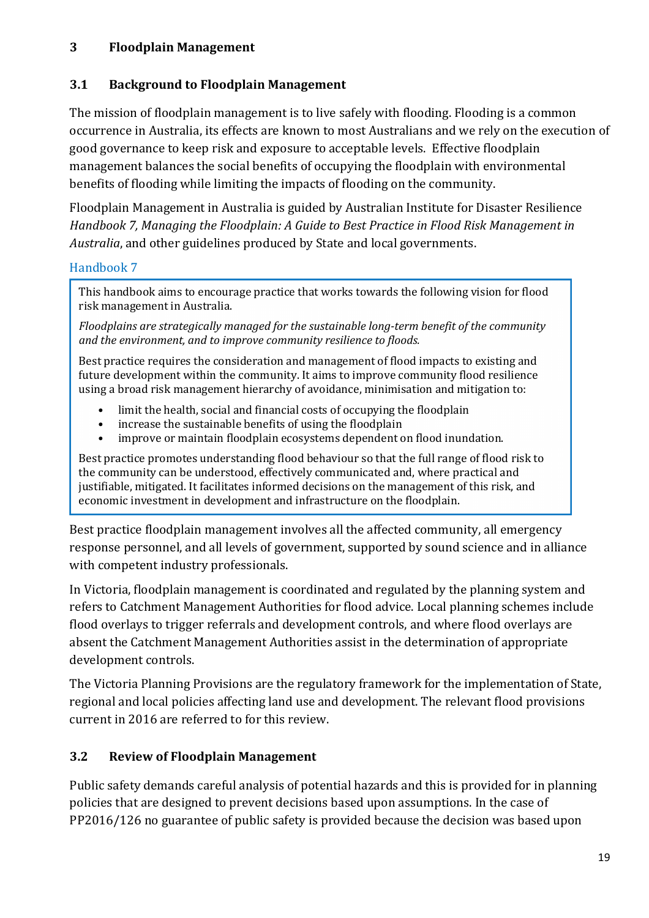### **3 Floodplain Management**

### **3.1 Background to Floodplain Management**

The mission of floodplain management is to live safely with flooding. Flooding is a common occurrence in Australia, its effects are known to most Australians and we rely on the execution of good governance to keep risk and exposure to acceptable levels. Effective floodplain management balances the social benefits of occupying the floodplain with environmental benefits of flooding while limiting the impacts of flooding on the community.

Floodplain Management in Australia is guided by Australian Institute for Disaster Resilience *Handbook 7, Managing the Floodplain: A Guide to Best Practice in Flood Risk Management in Australia*, and other guidelines produced by State and local governments.

### Handbook 7

This handbook aims to encourage practice that works towards the following vision for flood risk management in Australia.

*Floodplains are strategically managed for the sustainable long-term benefit of the community and the environment, and to improve community resilience to floods.* 

Best practice requires the consideration and management of flood impacts to existing and future development within the community. It aims to improve community flood resilience using a broad risk management hierarchy of avoidance, minimisation and mitigation to:

- limit the health, social and financial costs of occupying the floodplain
- increase the sustainable benefits of using the floodplain
- improve or maintain floodplain ecosystems dependent on flood inundation.

Best practice promotes understanding flood behaviour so that the full range of flood risk to the community can be understood, effectively communicated and, where practical and justifiable, mitigated. It facilitates informed decisions on the management of this risk, and economic investment in development and infrastructure on the floodplain.

Best practice floodplain management involves all the affected community, all emergency response personnel, and all levels of government, supported by sound science and in alliance with competent industry professionals.

In Victoria, floodplain management is coordinated and regulated by the planning system and refers to Catchment Management Authorities for flood advice. Local planning schemes include flood overlays to trigger referrals and development controls, and where flood overlays are absent the Catchment Management Authorities assist in the determination of appropriate development controls.

The Victoria Planning Provisions are the regulatory framework for the implementation of State, regional and local policies affecting land use and development. The relevant flood provisions current in 2016 are referred to for this review.

## **3.2 Review of Floodplain Management**

Public safety demands careful analysis of potential hazards and this is provided for in planning policies that are designed to prevent decisions based upon assumptions. In the case of PP2016/126 no guarantee of public safety is provided because the decision was based upon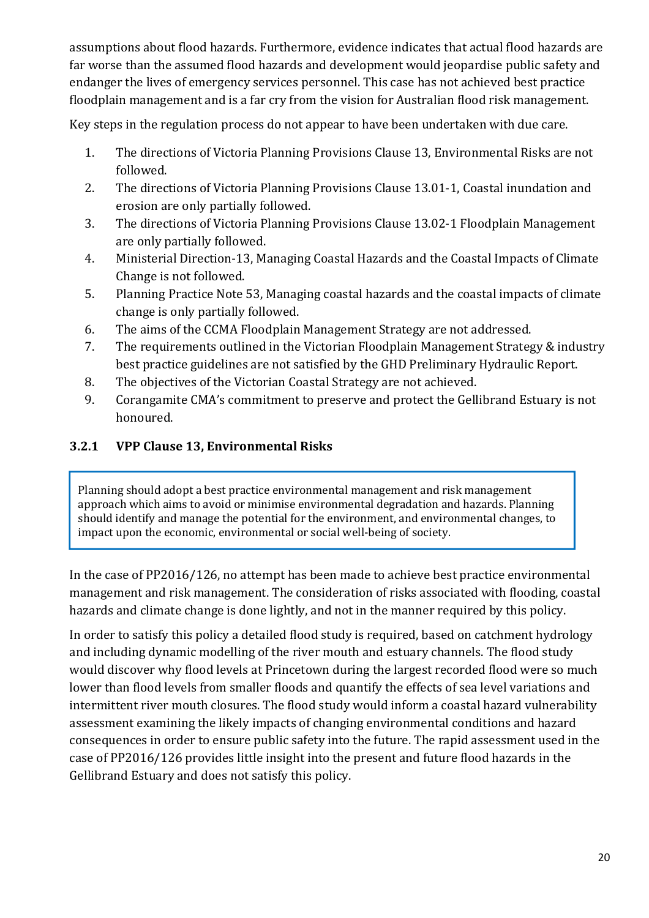assumptions about flood hazards. Furthermore, evidence indicates that actual flood hazards are far worse than the assumed flood hazards and development would jeopardise public safety and endanger the lives of emergency services personnel. This case has not achieved best practice floodplain management and is a far cry from the vision for Australian flood risk management.

Key steps in the regulation process do not appear to have been undertaken with due care.

- 1. The directions of Victoria Planning Provisions Clause 13, Environmental Risks are not followed.
- 2. The directions of Victoria Planning Provisions Clause 13.01-1, Coastal inundation and erosion are only partially followed.
- 3. The directions of Victoria Planning Provisions Clause 13.02-1 Floodplain Management are only partially followed.
- 4. Ministerial Direction-13, Managing Coastal Hazards and the Coastal Impacts of Climate Change is not followed.
- 5. Planning Practice Note 53, Managing coastal hazards and the coastal impacts of climate change is only partially followed.
- 6. The aims of the CCMA Floodplain Management Strategy are not addressed.
- 7. The requirements outlined in the Victorian Floodplain Management Strategy & industry best practice guidelines are not satisfied by the GHD Preliminary Hydraulic Report.
- 8. The objectives of the Victorian Coastal Strategy are not achieved.
- 9. Corangamite CMA's commitment to preserve and protect the Gellibrand Estuary is not honoured.

## **3.2.1 VPP Clause 13, Environmental Risks**

Planning should adopt a best practice environmental management and risk management approach which aims to avoid or minimise environmental degradation and hazards. Planning should identify and manage the potential for the environment, and environmental changes, to impact upon the economic, environmental or social well-being of society.

In the case of PP2016/126, no attempt has been made to achieve best practice environmental management and risk management. The consideration of risks associated with flooding, coastal hazards and climate change is done lightly, and not in the manner required by this policy.

In order to satisfy this policy a detailed flood study is required, based on catchment hydrology and including dynamic modelling of the river mouth and estuary channels. The flood study would discover why flood levels at Princetown during the largest recorded flood were so much lower than flood levels from smaller floods and quantify the effects of sea level variations and intermittent river mouth closures. The flood study would inform a coastal hazard vulnerability assessment examining the likely impacts of changing environmental conditions and hazard consequences in order to ensure public safety into the future. The rapid assessment used in the case of PP2016/126 provides little insight into the present and future flood hazards in the Gellibrand Estuary and does not satisfy this policy.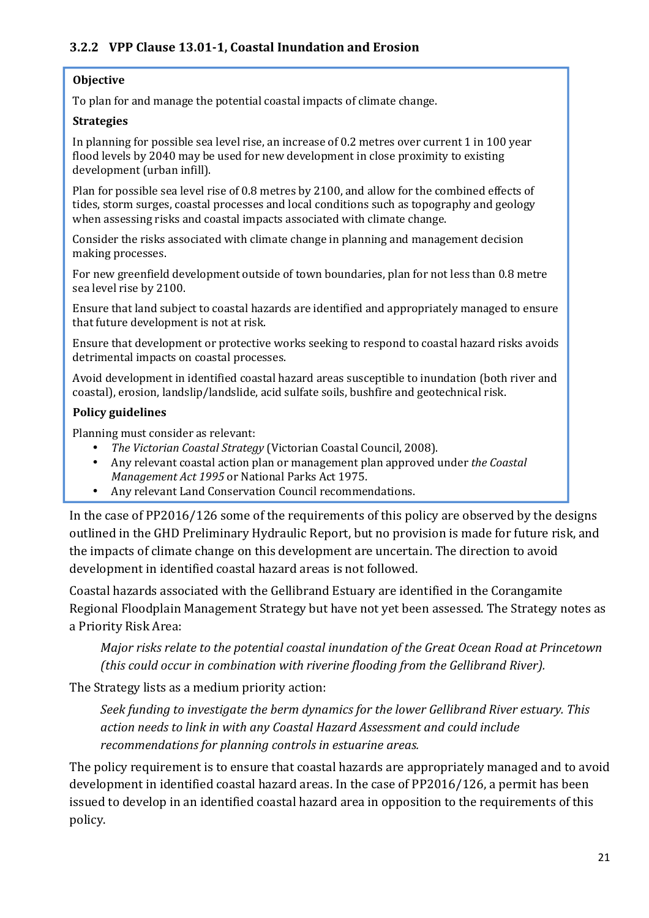### **3.2.2 VPP Clause 13.01-1, Coastal Inundation and Erosion**

#### **Objective**

To plan for and manage the potential coastal impacts of climate change.

#### **Strategies**

In planning for possible sea level rise, an increase of 0.2 metres over current 1 in 100 year flood levels by 2040 may be used for new development in close proximity to existing development (urban infill).

Plan for possible sea level rise of 0.8 metres by 2100, and allow for the combined effects of tides, storm surges, coastal processes and local conditions such as topography and geology when assessing risks and coastal impacts associated with climate change.

Consider the risks associated with climate change in planning and management decision making processes.

For new greenfield development outside of town boundaries, plan for not less than 0.8 metre sea level rise by 2100.

Ensure that land subject to coastal hazards are identified and appropriately managed to ensure that future development is not at risk.

Ensure that development or protective works seeking to respond to coastal hazard risks avoids detrimental impacts on coastal processes.

Avoid development in identified coastal hazard areas susceptible to inundation (both river and coastal), erosion, landslip/landslide, acid sulfate soils, bushfire and geotechnical risk.

#### **Policy guidelines**

Planning must consider as relevant:

- *The Victorian Coastal Strategy* (Victorian Coastal Council, 2008).
- Any relevant coastal action plan or management plan approved under *the Coastal Management Act 1995* or National Parks Act 1975.
- Any relevant Land Conservation Council recommendations.

In the case of PP2016/126 some of the requirements of this policy are observed by the designs outlined in the GHD Preliminary Hydraulic Report, but no provision is made for future risk, and the impacts of climate change on this development are uncertain. The direction to avoid development in identified coastal hazard areas is not followed.

Coastal hazards associated with the Gellibrand Estuary are identified in the Corangamite Regional Floodplain Management Strategy but have not yet been assessed. The Strategy notes as a Priority Risk Area:

*Major risks relate to the potential coastal inundation of the Great Ocean Road at Princetown (this could occur in combination with riverine flooding from the Gellibrand River).* 

The Strategy lists as a medium priority action:

*Seek funding to investigate the berm dynamics for the lower Gellibrand River estuary. This action needs to link in with any Coastal Hazard Assessment and could include recommendations for planning controls in estuarine areas.* 

The policy requirement is to ensure that coastal hazards are appropriately managed and to avoid development in identified coastal hazard areas. In the case of PP2016/126, a permit has been issued to develop in an identified coastal hazard area in opposition to the requirements of this policy.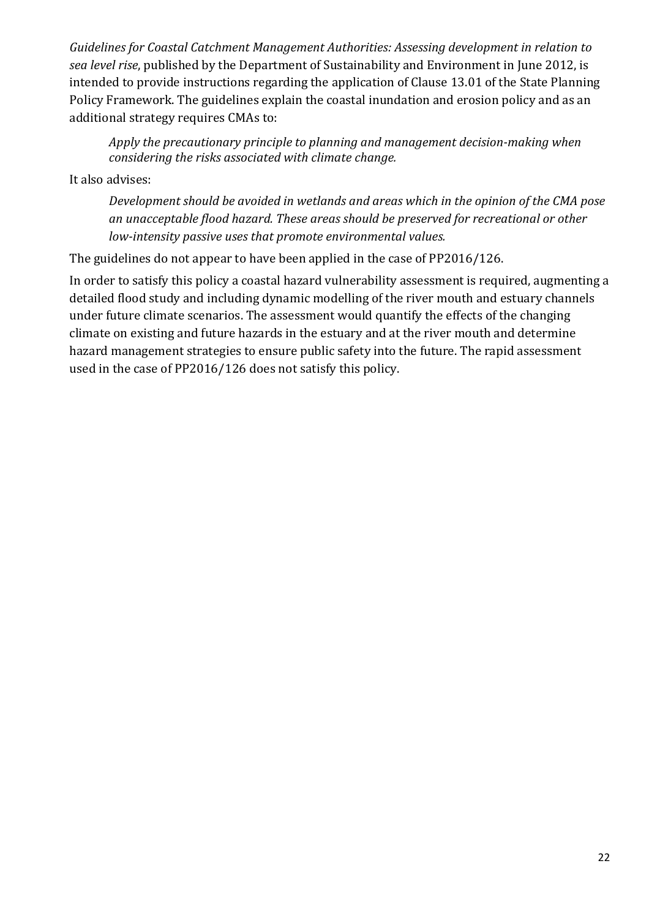*Guidelines for Coastal Catchment Management Authorities: Assessing development in relation to sea level rise*, published by the Department of Sustainability and Environment in June 2012, is intended to provide instructions regarding the application of Clause 13.01 of the State Planning Policy Framework. The guidelines explain the coastal inundation and erosion policy and as an additional strategy requires CMAs to:

*Apply the precautionary principle to planning and management decision-making when considering the risks associated with climate change.* 

It also advises:

*Development should be avoided in wetlands and areas which in the opinion of the CMA pose an unacceptable flood hazard. These areas should be preserved for recreational or other low-intensity passive uses that promote environmental values.* 

The guidelines do not appear to have been applied in the case of PP2016/126.

In order to satisfy this policy a coastal hazard vulnerability assessment is required, augmenting a detailed flood study and including dynamic modelling of the river mouth and estuary channels under future climate scenarios. The assessment would quantify the effects of the changing climate on existing and future hazards in the estuary and at the river mouth and determine hazard management strategies to ensure public safety into the future. The rapid assessment used in the case of PP2016/126 does not satisfy this policy.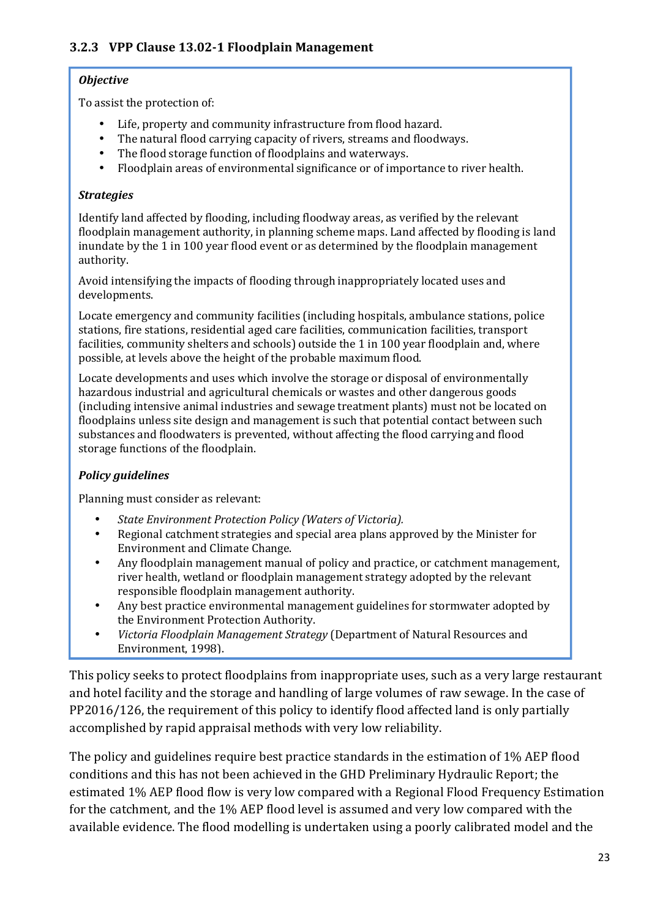#### *Objective*

To assist the protection of:

- Life, property and community infrastructure from flood hazard.
- The natural flood carrying capacity of rivers, streams and floodways.
- The flood storage function of floodplains and waterways.
- Floodplain areas of environmental significance or of importance to river health.

#### *Strategies*

Identify land affected by flooding, including floodway areas, as verified by the relevant floodplain management authority, in planning scheme maps. Land affected by flooding is land inundate by the 1 in 100 year flood event or as determined by the floodplain management authority.

Avoid intensifying the impacts of flooding through inappropriately located uses and developments.

Locate emergency and community facilities (including hospitals, ambulance stations, police stations, fire stations, residential aged care facilities, communication facilities, transport facilities, community shelters and schools) outside the 1 in 100 year floodplain and, where possible, at levels above the height of the probable maximum flood.

Locate developments and uses which involve the storage or disposal of environmentally hazardous industrial and agricultural chemicals or wastes and other dangerous goods (including intensive animal industries and sewage treatment plants) must not be located on floodplains unless site design and management is such that potential contact between such substances and floodwaters is prevented, without affecting the flood carrying and flood storage functions of the floodplain.

#### *Policy guidelines*

Planning must consider as relevant:

- *State Environment Protection Policy (Waters of Victoria).*
- Regional catchment strategies and special area plans approved by the Minister for Environment and Climate Change.
- Any floodplain management manual of policy and practice, or catchment management, river health, wetland or floodplain management strategy adopted by the relevant responsible floodplain management authority.
- Any best practice environmental management guidelines for stormwater adopted by the Environment Protection Authority.
- *Victoria Floodplain Management Strategy* (Department of Natural Resources and Environment, 1998).

This policy seeks to protect floodplains from inappropriate uses, such as a very large restaurant and hotel facility and the storage and handling of large volumes of raw sewage. In the case of PP2016/126, the requirement of this policy to identify flood affected land is only partially accomplished by rapid appraisal methods with very low reliability.

The policy and guidelines require best practice standards in the estimation of 1% AEP flood conditions and this has not been achieved in the GHD Preliminary Hydraulic Report; the estimated 1% AEP flood flow is very low compared with a Regional Flood Frequency Estimation for the catchment, and the 1% AEP flood level is assumed and very low compared with the available evidence. The flood modelling is undertaken using a poorly calibrated model and the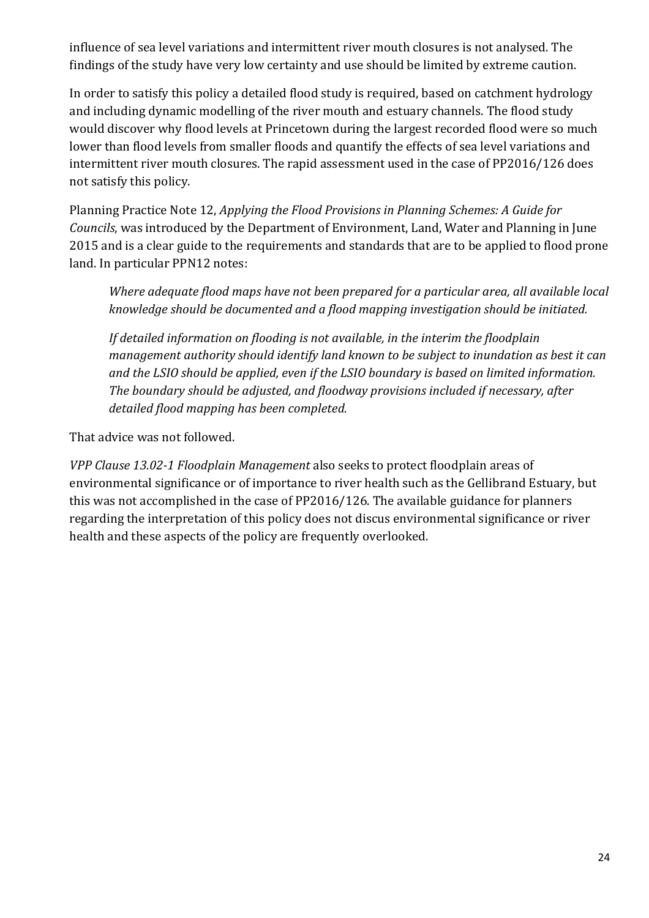influence of sea level variations and intermittent river mouth closures is not analysed. The findings of the study have very low certainty and use should be limited by extreme caution.

In order to satisfy this policy a detailed flood study is required, based on catchment hydrology and including dynamic modelling of the river mouth and estuary channels. The flood study would discover why flood levels at Princetown during the largest recorded flood were so much lower than flood levels from smaller floods and quantify the effects of sea level variations and intermittent river mouth closures. The rapid assessment used in the case of PP2016/126 does not satisfy this policy.

Planning Practice Note 12, *Applying the Flood Provisions in Planning Schemes: A Guide for Councils*, was introduced by the Department of Environment, Land, Water and Planning in June 2015 and is a clear guide to the requirements and standards that are to be applied to flood prone land. In particular PPN12 notes:

*Where adequate flood maps have not been prepared for a particular area, all available local knowledge should be documented and a flood mapping investigation should be initiated.* 

*If detailed information on flooding is not available, in the interim the floodplain management authority should identify land known to be subject to inundation as best it can and the LSIO should be applied, even if the LSIO boundary is based on limited information. The boundary should be adjusted, and floodway provisions included if necessary, after detailed flood mapping has been completed.* 

That advice was not followed.

*VPP Clause 13.02-1 Floodplain Management* also seeks to protect floodplain areas of environmental significance or of importance to river health such as the Gellibrand Estuary, but this was not accomplished in the case of PP2016/126. The available guidance for planners regarding the interpretation of this policy does not discus environmental significance or river health and these aspects of the policy are frequently overlooked.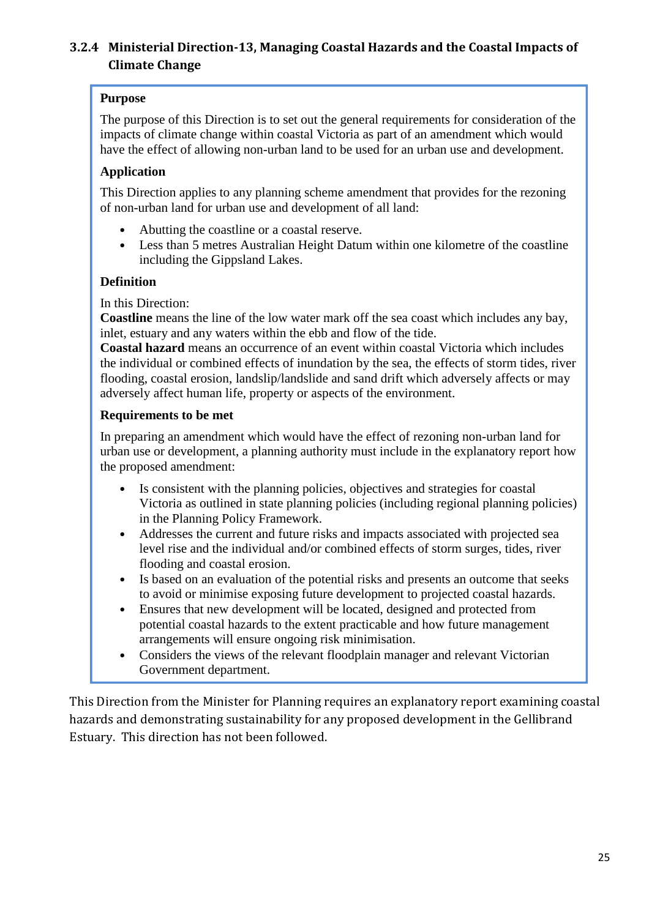## **3.2.4 Ministerial Direction-13, Managing Coastal Hazards and the Coastal Impacts of Climate Change**

#### **Purpose**

The purpose of this Direction is to set out the general requirements for consideration of the impacts of climate change within coastal Victoria as part of an amendment which would have the effect of allowing non-urban land to be used for an urban use and development.

#### **Application**

This Direction applies to any planning scheme amendment that provides for the rezoning of non-urban land for urban use and development of all land:

- Abutting the coastline or a coastal reserve.
- Less than 5 metres Australian Height Datum within one kilometre of the coastline including the Gippsland Lakes.

#### **Definition**

In this Direction:

**Coastline** means the line of the low water mark off the sea coast which includes any bay, inlet, estuary and any waters within the ebb and flow of the tide.

**Coastal hazard** means an occurrence of an event within coastal Victoria which includes the individual or combined effects of inundation by the sea, the effects of storm tides, river flooding, coastal erosion, landslip/landslide and sand drift which adversely affects or may adversely affect human life, property or aspects of the environment.

#### **Requirements to be met**

In preparing an amendment which would have the effect of rezoning non-urban land for urban use or development, a planning authority must include in the explanatory report how the proposed amendment:

- Is consistent with the planning policies, objectives and strategies for coastal Victoria as outlined in state planning policies (including regional planning policies) in the Planning Policy Framework.
- Addresses the current and future risks and impacts associated with projected sea level rise and the individual and/or combined effects of storm surges, tides, river flooding and coastal erosion.
- Is based on an evaluation of the potential risks and presents an outcome that seeks to avoid or minimise exposing future development to projected coastal hazards.
- Ensures that new development will be located, designed and protected from potential coastal hazards to the extent practicable and how future management arrangements will ensure ongoing risk minimisation.
- Considers the views of the relevant floodplain manager and relevant Victorian Government department.

This Direction from the Minister for Planning requires an explanatory report examining coastal hazards and demonstrating sustainability for any proposed development in the Gellibrand Estuary. This direction has not been followed.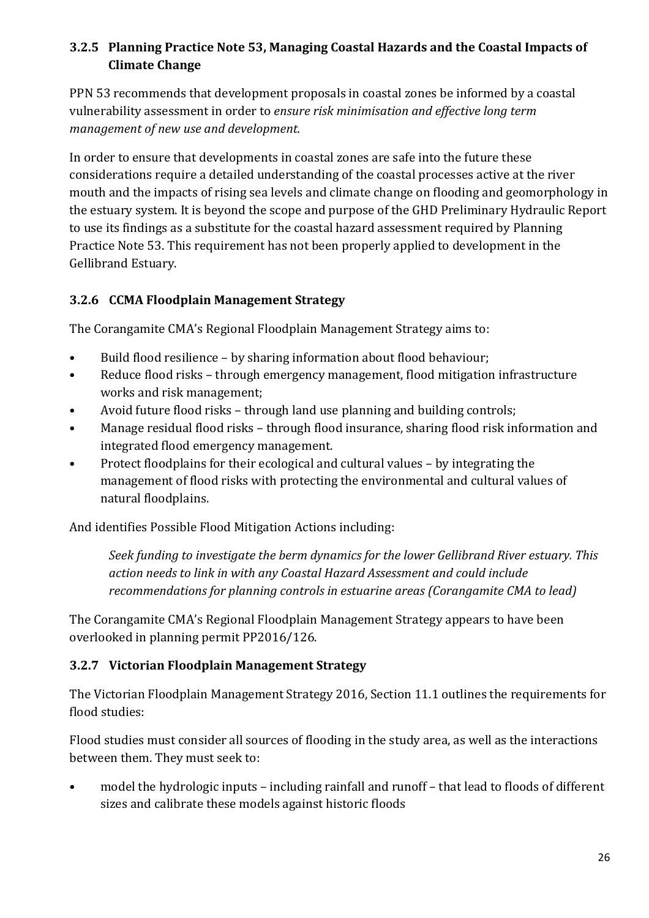## **3.2.5 Planning Practice Note 53, Managing Coastal Hazards and the Coastal Impacts of Climate Change**

PPN 53 recommends that development proposals in coastal zones be informed by a coastal vulnerability assessment in order to *ensure risk minimisation and effective long term management of new use and development.*

In order to ensure that developments in coastal zones are safe into the future these considerations require a detailed understanding of the coastal processes active at the river mouth and the impacts of rising sea levels and climate change on flooding and geomorphology in the estuary system. It is beyond the scope and purpose of the GHD Preliminary Hydraulic Report to use its findings as a substitute for the coastal hazard assessment required by Planning Practice Note 53. This requirement has not been properly applied to development in the Gellibrand Estuary.

## **3.2.6 CCMA Floodplain Management Strategy**

The Corangamite CMA's Regional Floodplain Management Strategy aims to:

- Build flood resilience by sharing information about flood behaviour;
- Reduce flood risks through emergency management, flood mitigation infrastructure works and risk management;
- Avoid future flood risks through land use planning and building controls;
- Manage residual flood risks through flood insurance, sharing flood risk information and integrated flood emergency management.
- Protect floodplains for their ecological and cultural values by integrating the management of flood risks with protecting the environmental and cultural values of natural floodplains.

And identifies Possible Flood Mitigation Actions including:

*Seek funding to investigate the berm dynamics for the lower Gellibrand River estuary. This action needs to link in with any Coastal Hazard Assessment and could include recommendations for planning controls in estuarine areas (Corangamite CMA to lead)* 

The Corangamite CMA's Regional Floodplain Management Strategy appears to have been overlooked in planning permit PP2016/126.

## **3.2.7 Victorian Floodplain Management Strategy**

The Victorian Floodplain Management Strategy 2016, Section 11.1 outlines the requirements for flood studies:

Flood studies must consider all sources of flooding in the study area, as well as the interactions between them. They must seek to:

• model the hydrologic inputs – including rainfall and runoff – that lead to floods of different sizes and calibrate these models against historic floods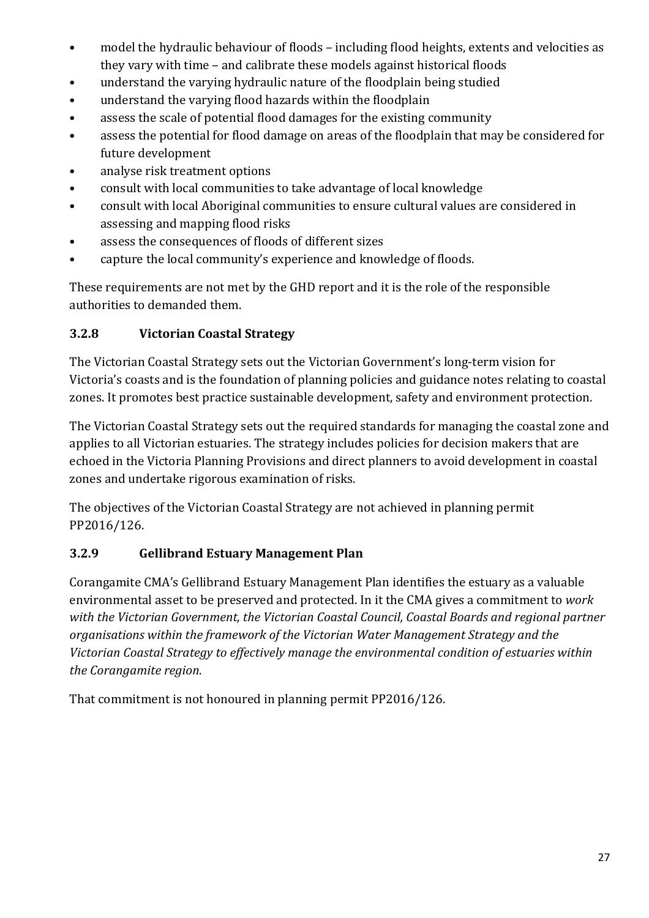- model the hydraulic behaviour of floods including flood heights, extents and velocities as they vary with time – and calibrate these models against historical floods
- understand the varying hydraulic nature of the floodplain being studied
- understand the varying flood hazards within the floodplain
- assess the scale of potential flood damages for the existing community
- assess the potential for flood damage on areas of the floodplain that may be considered for future development
- analyse risk treatment options
- consult with local communities to take advantage of local knowledge
- consult with local Aboriginal communities to ensure cultural values are considered in assessing and mapping flood risks
- assess the consequences of floods of different sizes
- capture the local community's experience and knowledge of floods.

These requirements are not met by the GHD report and it is the role of the responsible authorities to demanded them.

## **3.2.8 Victorian Coastal Strategy**

The Victorian Coastal Strategy sets out the Victorian Government's long-term vision for Victoria's coasts and is the foundation of planning policies and guidance notes relating to coastal zones. It promotes best practice sustainable development, safety and environment protection.

The Victorian Coastal Strategy sets out the required standards for managing the coastal zone and applies to all Victorian estuaries. The strategy includes policies for decision makers that are echoed in the Victoria Planning Provisions and direct planners to avoid development in coastal zones and undertake rigorous examination of risks.

The objectives of the Victorian Coastal Strategy are not achieved in planning permit PP2016/126.

## **3.2.9 Gellibrand Estuary Management Plan**

Corangamite CMA's Gellibrand Estuary Management Plan identifies the estuary as a valuable environmental asset to be preserved and protected. In it the CMA gives a commitment to *work with the Victorian Government, the Victorian Coastal Council, Coastal Boards and regional partner organisations within the framework of the Victorian Water Management Strategy and the Victorian Coastal Strategy to effectively manage the environmental condition of estuaries within the Corangamite region*.

That commitment is not honoured in planning permit PP2016/126.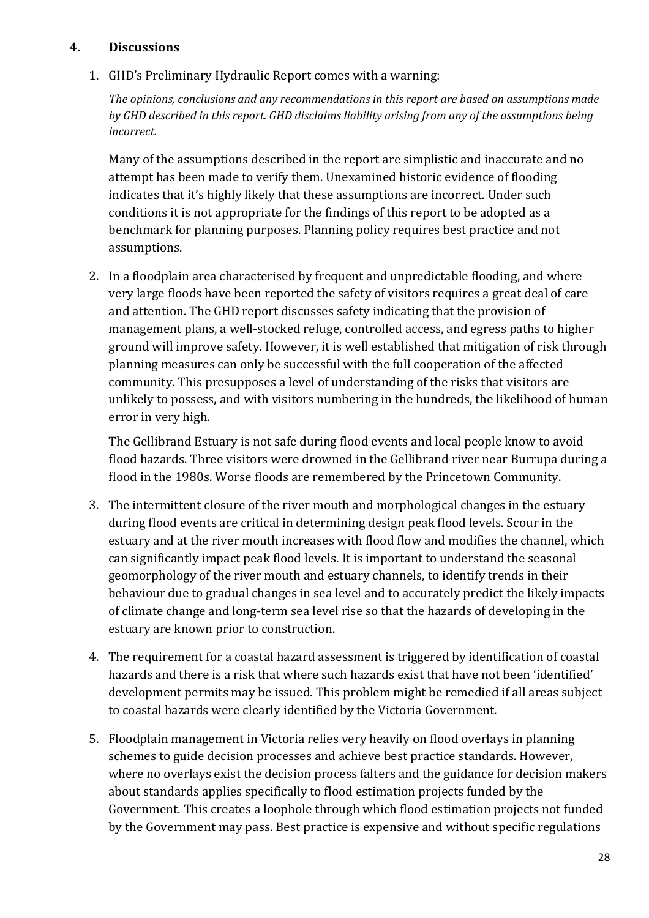#### **4. Discussions**

1. GHD's Preliminary Hydraulic Report comes with a warning:

*The opinions, conclusions and any recommendations in this report are based on assumptions made by GHD described in this report. GHD disclaims liability arising from any of the assumptions being incorrect.* 

Many of the assumptions described in the report are simplistic and inaccurate and no attempt has been made to verify them. Unexamined historic evidence of flooding indicates that it's highly likely that these assumptions are incorrect. Under such conditions it is not appropriate for the findings of this report to be adopted as a benchmark for planning purposes. Planning policy requires best practice and not assumptions.

2. In a floodplain area characterised by frequent and unpredictable flooding, and where very large floods have been reported the safety of visitors requires a great deal of care and attention. The GHD report discusses safety indicating that the provision of management plans, a well-stocked refuge, controlled access, and egress paths to higher ground will improve safety. However, it is well established that mitigation of risk through planning measures can only be successful with the full cooperation of the affected community. This presupposes a level of understanding of the risks that visitors are unlikely to possess, and with visitors numbering in the hundreds, the likelihood of human error in very high.

The Gellibrand Estuary is not safe during flood events and local people know to avoid flood hazards. Three visitors were drowned in the Gellibrand river near Burrupa during a flood in the 1980s. Worse floods are remembered by the Princetown Community.

- 3. The intermittent closure of the river mouth and morphological changes in the estuary during flood events are critical in determining design peak flood levels. Scour in the estuary and at the river mouth increases with flood flow and modifies the channel, which can significantly impact peak flood levels. It is important to understand the seasonal geomorphology of the river mouth and estuary channels, to identify trends in their behaviour due to gradual changes in sea level and to accurately predict the likely impacts of climate change and long-term sea level rise so that the hazards of developing in the estuary are known prior to construction.
- 4. The requirement for a coastal hazard assessment is triggered by identification of coastal hazards and there is a risk that where such hazards exist that have not been 'identified' development permits may be issued. This problem might be remedied if all areas subject to coastal hazards were clearly identified by the Victoria Government.
- 5. Floodplain management in Victoria relies very heavily on flood overlays in planning schemes to guide decision processes and achieve best practice standards. However, where no overlays exist the decision process falters and the guidance for decision makers about standards applies specifically to flood estimation projects funded by the Government. This creates a loophole through which flood estimation projects not funded by the Government may pass. Best practice is expensive and without specific regulations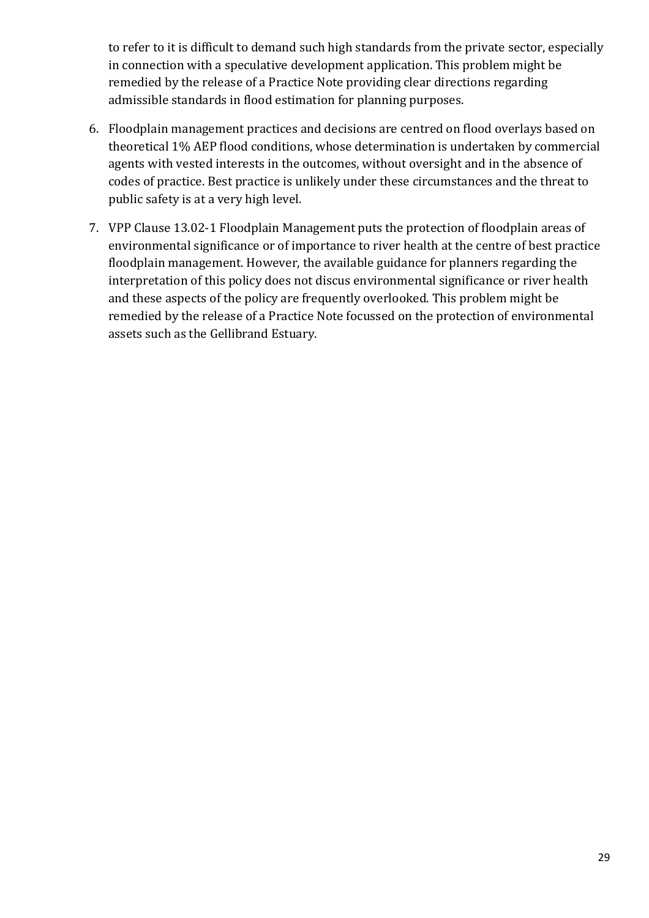to refer to it is difficult to demand such high standards from the private sector, especially in connection with a speculative development application. This problem might be remedied by the release of a Practice Note providing clear directions regarding admissible standards in flood estimation for planning purposes.

- 6. Floodplain management practices and decisions are centred on flood overlays based on theoretical 1% AEP flood conditions, whose determination is undertaken by commercial agents with vested interests in the outcomes, without oversight and in the absence of codes of practice. Best practice is unlikely under these circumstances and the threat to public safety is at a very high level.
- 7. VPP Clause 13.02-1 Floodplain Management puts the protection of floodplain areas of environmental significance or of importance to river health at the centre of best practice floodplain management. However, the available guidance for planners regarding the interpretation of this policy does not discus environmental significance or river health and these aspects of the policy are frequently overlooked. This problem might be remedied by the release of a Practice Note focussed on the protection of environmental assets such as the Gellibrand Estuary.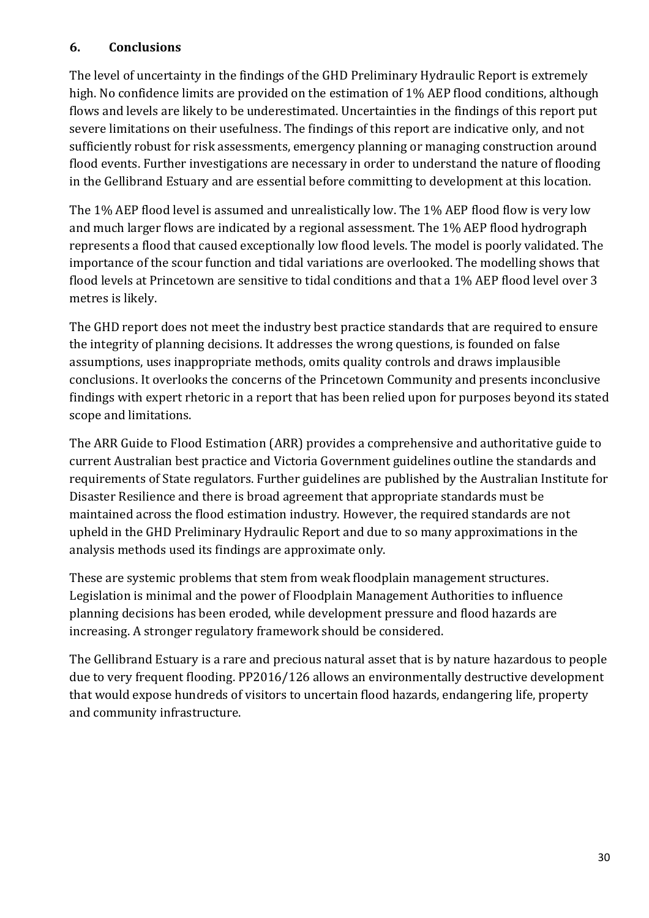### **6. Conclusions**

The level of uncertainty in the findings of the GHD Preliminary Hydraulic Report is extremely high. No confidence limits are provided on the estimation of 1% AEP flood conditions, although flows and levels are likely to be underestimated. Uncertainties in the findings of this report put severe limitations on their usefulness. The findings of this report are indicative only, and not sufficiently robust for risk assessments, emergency planning or managing construction around flood events. Further investigations are necessary in order to understand the nature of flooding in the Gellibrand Estuary and are essential before committing to development at this location.

The 1% AEP flood level is assumed and unrealistically low. The 1% AEP flood flow is very low and much larger flows are indicated by a regional assessment. The 1% AEP flood hydrograph represents a flood that caused exceptionally low flood levels. The model is poorly validated. The importance of the scour function and tidal variations are overlooked. The modelling shows that flood levels at Princetown are sensitive to tidal conditions and that a 1% AEP flood level over 3 metres is likely.

The GHD report does not meet the industry best practice standards that are required to ensure the integrity of planning decisions. It addresses the wrong questions, is founded on false assumptions, uses inappropriate methods, omits quality controls and draws implausible conclusions. It overlooks the concerns of the Princetown Community and presents inconclusive findings with expert rhetoric in a report that has been relied upon for purposes beyond its stated scope and limitations.

The ARR Guide to Flood Estimation (ARR) provides a comprehensive and authoritative guide to current Australian best practice and Victoria Government guidelines outline the standards and requirements of State regulators. Further guidelines are published by the Australian Institute for Disaster Resilience and there is broad agreement that appropriate standards must be maintained across the flood estimation industry. However, the required standards are not upheld in the GHD Preliminary Hydraulic Report and due to so many approximations in the analysis methods used its findings are approximate only.

These are systemic problems that stem from weak floodplain management structures. Legislation is minimal and the power of Floodplain Management Authorities to influence planning decisions has been eroded, while development pressure and flood hazards are increasing. A stronger regulatory framework should be considered.

The Gellibrand Estuary is a rare and precious natural asset that is by nature hazardous to people due to very frequent flooding. PP2016/126 allows an environmentally destructive development that would expose hundreds of visitors to uncertain flood hazards, endangering life, property and community infrastructure.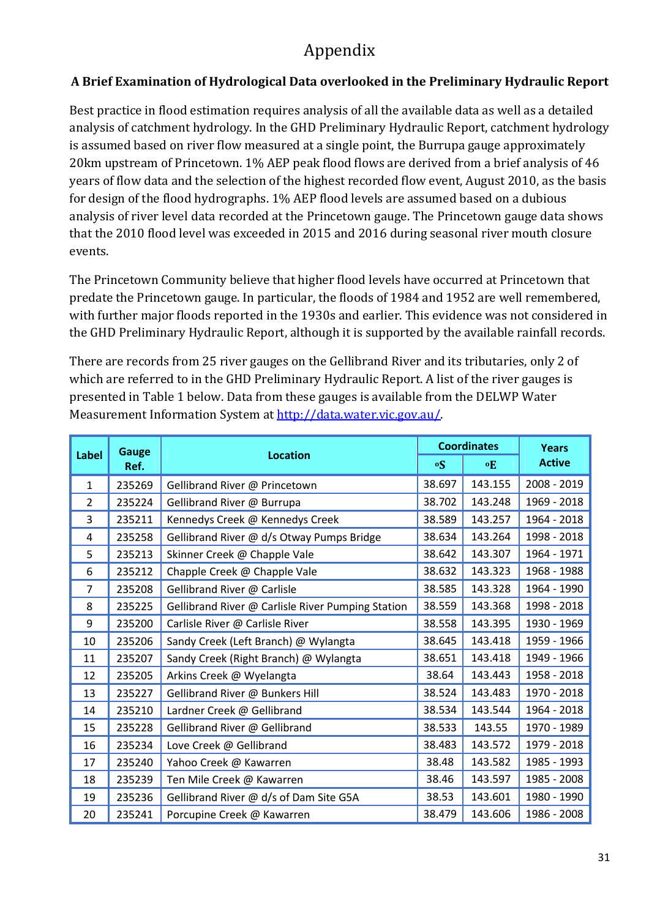# Appendix

## **A Brief Examination of Hydrological Data overlooked in the Preliminary Hydraulic Report**

Best practice in flood estimation requires analysis of all the available data as well as a detailed analysis of catchment hydrology. In the GHD Preliminary Hydraulic Report, catchment hydrology is assumed based on river flow measured at a single point, the Burrupa gauge approximately 20km upstream of Princetown. 1% AEP peak flood flows are derived from a brief analysis of 46 years of flow data and the selection of the highest recorded flow event, August 2010, as the basis for design of the flood hydrographs. 1% AEP flood levels are assumed based on a dubious analysis of river level data recorded at the Princetown gauge. The Princetown gauge data shows that the 2010 flood level was exceeded in 2015 and 2016 during seasonal river mouth closure events.

The Princetown Community believe that higher flood levels have occurred at Princetown that predate the Princetown gauge. In particular, the floods of 1984 and 1952 are well remembered, with further major floods reported in the 1930s and earlier. This evidence was not considered in the GHD Preliminary Hydraulic Report, although it is supported by the available rainfall records.

There are records from 25 river gauges on the Gellibrand River and its tributaries, only 2 of which are referred to in the GHD Preliminary Hydraulic Report. A list of the river gauges is presented in Table 1 below. Data from these gauges is available from the DELWP Water Measurement Information System at http://data.water.vic.gov.au/.

| <b>Label</b>   | <b>Gauge</b> | <b>Location</b>                                   |           | <b>Coordinates</b> | <b>Years</b>  |  |
|----------------|--------------|---------------------------------------------------|-----------|--------------------|---------------|--|
|                | Ref.         |                                                   | $\circ$ S | $\mathbf{E}$       | <b>Active</b> |  |
| $\mathbf{1}$   | 235269       | Gellibrand River @ Princetown                     | 38.697    | 143.155            | 2008 - 2019   |  |
| $\overline{2}$ | 235224       | Gellibrand River @ Burrupa                        | 38.702    | 143.248            | 1969 - 2018   |  |
| 3              | 235211       | Kennedys Creek @ Kennedys Creek                   | 38.589    | 143.257            | 1964 - 2018   |  |
| 4              | 235258       | Gellibrand River @ d/s Otway Pumps Bridge         | 38.634    | 143.264            | 1998 - 2018   |  |
| 5              | 235213       | Skinner Creek @ Chapple Vale                      | 38.642    | 143.307            | 1964 - 1971   |  |
| 6              | 235212       | Chapple Creek @ Chapple Vale                      | 38.632    | 143.323            | 1968 - 1988   |  |
| $\overline{7}$ | 235208       | Gellibrand River @ Carlisle                       | 38.585    | 143.328            | 1964 - 1990   |  |
| 8              | 235225       | Gellibrand River @ Carlisle River Pumping Station | 38.559    | 143.368            | 1998 - 2018   |  |
| 9              | 235200       | Carlisle River @ Carlisle River                   | 38.558    | 143.395            | 1930 - 1969   |  |
| 10             | 235206       | Sandy Creek (Left Branch) @ Wylangta              | 38.645    | 143.418            | 1959 - 1966   |  |
| 11             | 235207       | Sandy Creek (Right Branch) @ Wylangta             | 38.651    | 143.418            | 1949 - 1966   |  |
| 12             | 235205       | Arkins Creek @ Wyelangta                          | 38.64     | 143.443            | 1958 - 2018   |  |
| 13             | 235227       | Gellibrand River @ Bunkers Hill                   | 38.524    | 143.483            | 1970 - 2018   |  |
| 14             | 235210       | Lardner Creek @ Gellibrand                        | 38.534    | 143.544            | 1964 - 2018   |  |
| 15             | 235228       | Gellibrand River @ Gellibrand                     | 38.533    | 143.55             | 1970 - 1989   |  |
| 16             | 235234       | Love Creek @ Gellibrand                           | 38.483    | 143.572            | 1979 - 2018   |  |
| 17             | 235240       | Yahoo Creek @ Kawarren                            | 38.48     | 143.582            | 1985 - 1993   |  |
| 18             | 235239       | Ten Mile Creek @ Kawarren                         | 38.46     | 143.597            | 1985 - 2008   |  |
| 19             | 235236       | Gellibrand River @ d/s of Dam Site G5A            | 38.53     | 143.601            | 1980 - 1990   |  |
| 20             | 235241       | Porcupine Creek @ Kawarren                        | 38.479    | 143.606            | 1986 - 2008   |  |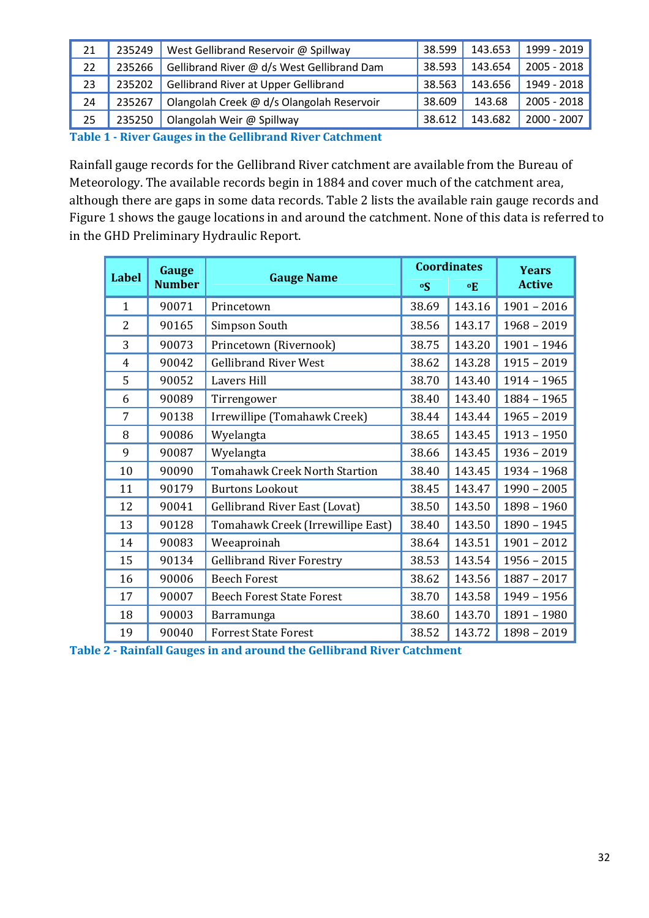| 21 | 235249 | West Gellibrand Reservoir @ Spillway                                                                                                                                 | 38.599 | 143.653 | 1999 - 2019 |
|----|--------|----------------------------------------------------------------------------------------------------------------------------------------------------------------------|--------|---------|-------------|
| 22 | 235266 | Gellibrand River @ d/s West Gellibrand Dam                                                                                                                           | 38.593 | 143.654 | 2005 - 2018 |
| 23 | 235202 | <b>Gellibrand River at Upper Gellibrand</b>                                                                                                                          | 38.563 | 143.656 | 1949 - 2018 |
| 24 | 235267 | Olangolah Creek @ d/s Olangolah Reservoir                                                                                                                            | 38.609 | 143.68  | 2005 - 2018 |
| 25 | 235250 | Olangolah Weir @ Spillway                                                                                                                                            | 38.612 | 143.682 | 2000 - 2007 |
| .  |        | $\mathbf{A}$ $\mathbf{A}$ $\mathbf{A}$ $\mathbf{A}$ $\mathbf{A}$ $\mathbf{A}$ $\mathbf{A}$<br>.<br>$\sim$ $\sim$ $\sim$ $\sim$ $\sim$ $\sim$<br>$\sim$ $\sim$ $\sim$ |        |         |             |

**Table 1 - River Gauges in the Gellibrand River Catchment** 

Rainfall gauge records for the Gellibrand River catchment are available from the Bureau of Meteorology. The available records begin in 1884 and cover much of the catchment area, although there are gaps in some data records. Table 2 lists the available rain gauge records and Figure 1 shows the gauge locations in and around the catchment. None of this data is referred to in the GHD Preliminary Hydraulic Report.

| <b>Label</b>   | <b>Gauge</b>  |                                      |           | <b>Coordinates</b> | <b>Years</b>  |  |
|----------------|---------------|--------------------------------------|-----------|--------------------|---------------|--|
|                | <b>Number</b> | <b>Gauge Name</b>                    | $\circ$ S | $\mathbf{o}$ E     | <b>Active</b> |  |
| $\mathbf{1}$   | 90071         | Princetown                           | 38.69     | 143.16             | $1901 - 2016$ |  |
| 2              | 90165         | Simpson South                        | 38.56     | 143.17             | $1968 - 2019$ |  |
| 3              | 90073         | Princetown (Rivernook)               | 38.75     | 143.20             | $1901 - 1946$ |  |
| $\overline{4}$ | 90042         | <b>Gellibrand River West</b>         | 38.62     | 143.28             | $1915 - 2019$ |  |
| 5              | 90052         | <b>Lavers Hill</b>                   | 38.70     | 143.40             | $1914 - 1965$ |  |
| 6              | 90089         | Tirrengower                          | 38.40     | 143.40             | $1884 - 1965$ |  |
| 7              | 90138         | Irrewillipe (Tomahawk Creek)         | 38.44     | 143.44             | $1965 - 2019$ |  |
| 8              | 90086         | Wyelangta                            | 38.65     | 143.45             | $1913 - 1950$ |  |
| 9              | 90087         | Wyelangta                            | 38.66     | 143.45             | $1936 - 2019$ |  |
| 10             | 90090         | <b>Tomahawk Creek North Startion</b> | 38.40     | 143.45             | $1934 - 1968$ |  |
| 11             | 90179         | <b>Burtons Lookout</b>               | 38.45     | 143.47             | $1990 - 2005$ |  |
| 12             | 90041         | <b>Gellibrand River East (Lovat)</b> | 38.50     | 143.50             | $1898 - 1960$ |  |
| 13             | 90128         | Tomahawk Creek (Irrewillipe East)    | 38.40     | 143.50             | $1890 - 1945$ |  |
| 14             | 90083         | Weeaproinah                          | 38.64     | 143.51             | $1901 - 2012$ |  |
| 15             | 90134         | <b>Gellibrand River Forestry</b>     | 38.53     | 143.54             | $1956 - 2015$ |  |
| 16             | 90006         | <b>Beech Forest</b>                  | 38.62     | 143.56             | $1887 - 2017$ |  |
| 17             | 90007         | <b>Beech Forest State Forest</b>     | 38.70     | 143.58             | $1949 - 1956$ |  |
| 18             | 90003         | Barramunga                           | 38.60     | 143.70             | 1891 - 1980   |  |
| 19             | 90040         | <b>Forrest State Forest</b>          | 38.52     | 143.72             | $1898 - 2019$ |  |

**Table 2 - Rainfall Gauges in and around the Gellibrand River Catchment**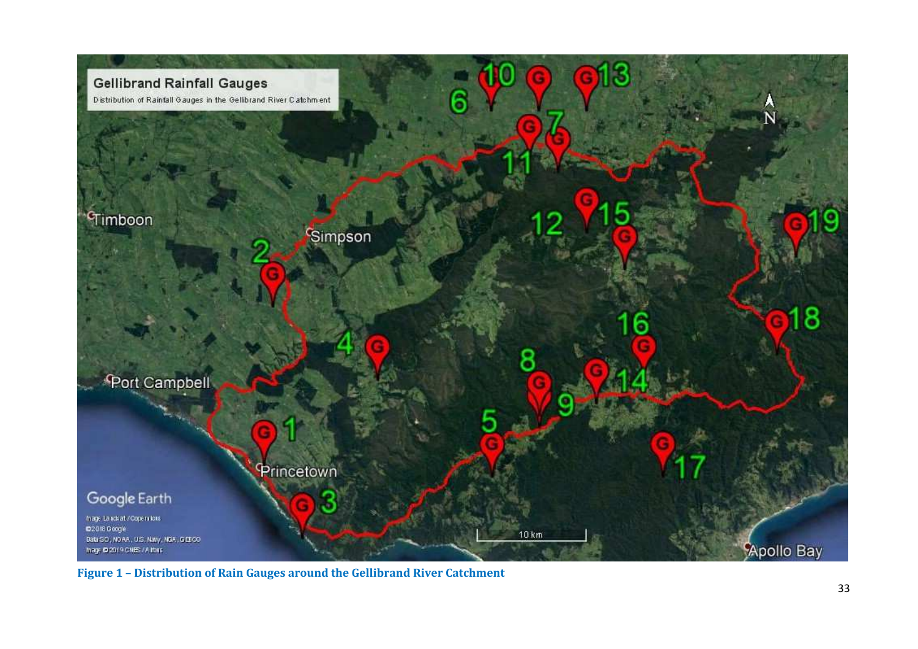

**Figure 1 – Distribution of Rain Gauges around the Gellibrand River Catchment**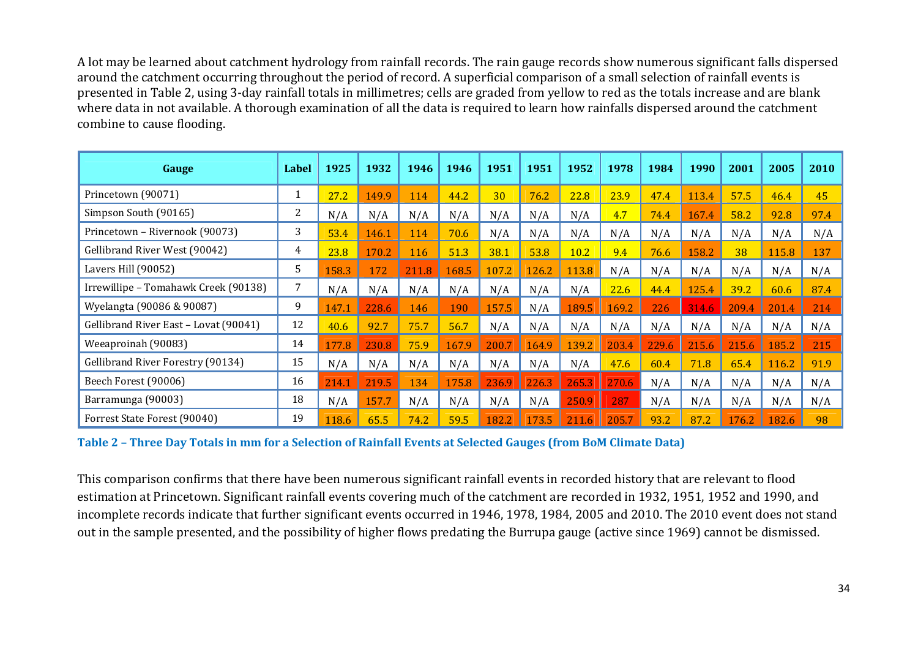A lot may be learned about catchment hydrology from rainfall records. The rain gauge records show numerous significant falls dispersed around the catchment occurring throughout the period of record. A superficial comparison of a small selection of rainfall events is presented in Table 2, using 3-day rainfall totals in millimetres; cells are graded from yellow to red as the totals increase and are blank where data in not available. A thorough examination of all the data is required to learn how rainfalls dispersed around the catchment combine to cause flooding.

| Gauge                                 | Label | 1925  | 1932  | 1946  | 1946  | 1951  | 1951  | 1952  | 1978  | 1984  | 1990  | 2001  | 2005  | 2010 |
|---------------------------------------|-------|-------|-------|-------|-------|-------|-------|-------|-------|-------|-------|-------|-------|------|
| Princetown (90071)                    |       | 27.2  | 149.9 | 114   | 44.2  | 30    | 76.2  | 22.8  | 23.9  | 47.4  | 113.4 | 57.5  | 46.4  | 45   |
| Simpson South (90165)                 | 2     | N/A   | N/A   | N/A   | N/A   | N/A   | N/A   | N/A   | 4.7   | 74.4  | 167.4 | 58.2  | 92.8  | 97.4 |
| Princetown - Rivernook (90073)        | 3     | 53.4  | 146.1 | 114   | 70.6  | N/A   | N/A   | N/A   | N/A   | N/A   | N/A   | N/A   | N/A   | N/A  |
| Gellibrand River West (90042)         | 4     | 23.8  | 170.2 | 116   | 51.3  | 38.1  | 53.8  | 10.2  | 9.4   | 76.6  | 158.2 | 38    | 115.8 | 137  |
| Lavers Hill (90052)                   | 5     | 158.3 | 172   | 211.8 | 168.5 | 107.2 | 126.2 | 113.8 | N/A   | N/A   | N/A   | N/A   | N/A   | N/A  |
| Irrewillipe - Tomahawk Creek (90138)  | 7     | N/A   | N/A   | N/A   | N/A   | N/A   | N/A   | N/A   | 22.6  | 44.4  | 125.4 | 39.2  | 60.6  | 87.4 |
| Wyelangta (90086 & 90087)             | 9     | 147.1 | 228.6 | 146   | 190   | 157.5 | N/A   | 189.5 | 169.2 | 226   | 314.6 | 209.4 | 201.4 | 214  |
| Gellibrand River East - Lovat (90041) | 12    | 40.6  | 92.7  | 75.7  | 56.7  | N/A   | N/A   | N/A   | N/A   | N/A   | N/A   | N/A   | N/A   | N/A  |
| Weeaproinah (90083)                   | 14    | 177.8 | 230.8 | 75.9  | 167.9 | 200.7 | 164.9 | 139.2 | 203.4 | 229.6 | 215.6 | 215.6 | 185.2 | 215  |
| Gellibrand River Forestry (90134)     | 15    | N/A   | N/A   | N/A   | N/A   | N/A   | N/A   | N/A   | 47.6  | 60.4  | 71.8  | 65.4  | 116.2 | 91.9 |
| Beech Forest (90006)                  | 16    | 214.1 | 219.5 | 134   | 175.8 | 236.9 | 226.3 | 265.3 | 270.6 | N/A   | N/A   | N/A   | N/A   | N/A  |
| Barramunga (90003)                    | 18    | N/A   | 157.7 | N/A   | N/A   | N/A   | N/A   | 250.9 | 287   | N/A   | N/A   | N/A   | N/A   | N/A  |
| Forrest State Forest (90040)          | 19    | 118.6 | 65.5  | 74.2  | 59.5  | 182.2 | 173.5 | 211.6 | 205.7 | 93.2  | 87.2  | 176.2 | 182.6 | 98   |

**Table 2 – Three Day Totals in mm for a Selection of Rainfall Events at Selected Gauges (from BoM Climate Data)** 

This comparison confirms that there have been numerous significant rainfall events in recorded history that are relevant to flood estimation at Princetown. Significant rainfall events covering much of the catchment are recorded in 1932, 1951, 1952 and 1990, and incomplete records indicate that further significant events occurred in 1946, 1978, 1984, 2005 and 2010. The 2010 event does not stand out in the sample presented, and the possibility of higher flows predating the Burrupa gauge (active since 1969) cannot be dismissed.